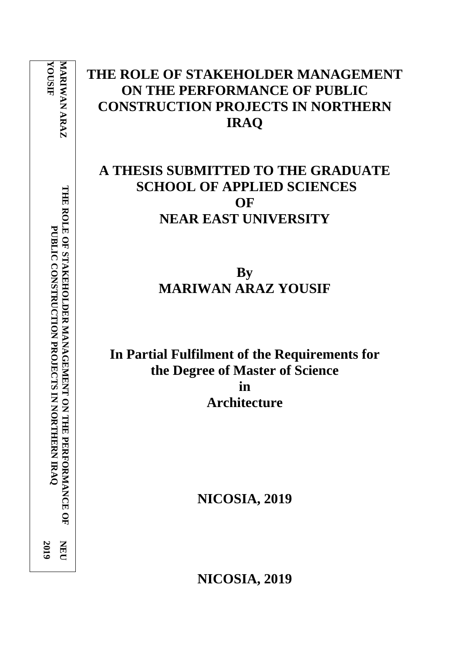**YOUSI F MARIWAN ARAZ MARIWAN** THE ROLE OF STAKEHOLDER MANAGEMENT ON THE PERFORMANCE OF **THE ROLE OF STAKEHOLDER MANAGEMENT ON THE PERFORMANCE OF**  PUBLIC CONSTRUCTION PROJECTS IN NORTHERN IRAQ **PUBLIC CONSTRUCTION PROJECTS IN NORTHERN IRAQ NEU 201 9**

# **THE ROLE OF STAKEHOLDER MANAGEMENT ON THE PERFORMANCE OF PUBLIC CONSTRUCTION PROJECTS IN NORTHERN IRAQ**

# **A THESIS SUBMITTED TO THE GRADUATE SCHOOL OF APPLIED SCIENCES OF NEAR EAST UNIVERSITY**

**By MARIWAN ARAZ YOUSIF**

**In Partial Fulfilment of the Requirements for the Degree of Master of Science in Architecture**

**NICOSIA, 2019**

**NICOSIA, 2019**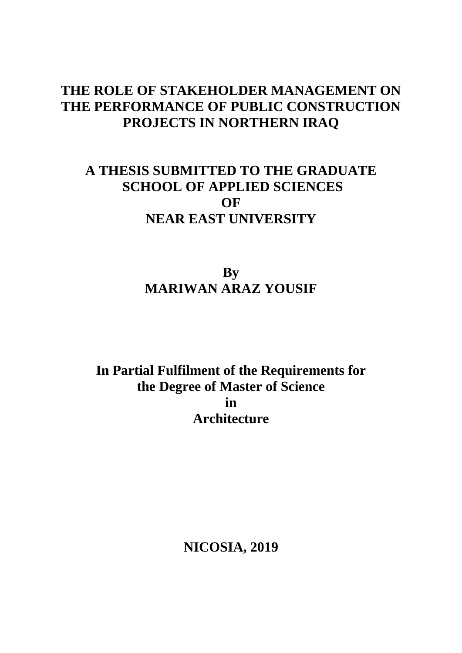# **THE ROLE OF STAKEHOLDER MANAGEMENT ON THE PERFORMANCE OF PUBLIC CONSTRUCTION PROJECTS IN NORTHERN IRAQ**

# **A THESIS SUBMITTED TO THE GRADUATE SCHOOL OF APPLIED SCIENCES OF NEAR EAST UNIVERSITY**

**By MARIWAN ARAZ YOUSIF** 

**In Partial Fulfilment of the Requirements for the Degree of Master of Science in Architecture**

**NICOSIA, 2019**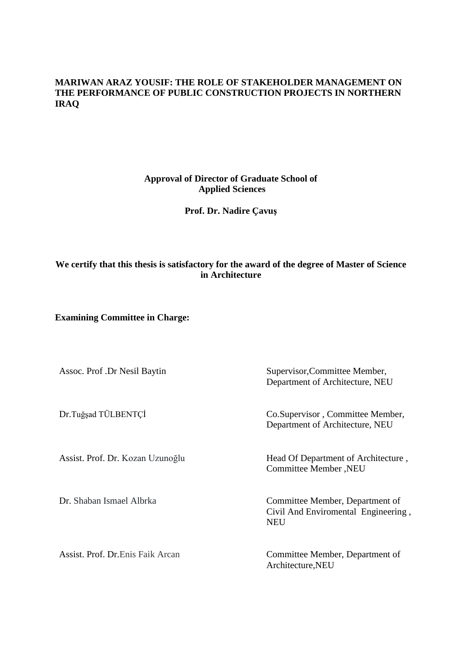## **MARIWAN ARAZ YOUSIF: THE ROLE OF STAKEHOLDER MANAGEMENT ON THE PERFORMANCE OF PUBLIC CONSTRUCTION PROJECTS IN NORTHERN IRAQ**

## **Approval of Director of Graduate School of Applied Sciences**

## **Prof. Dr. Nadire Çavuş**

## **We certify that this thesis is satisfactory for the award of the degree of Master of Science in Architecture**

**Examining Committee in Charge:**

| Assoc. Prof. Dr Nesil Baytin      | Supervisor, Committee Member,<br>Department of Architecture, NEU                     |
|-----------------------------------|--------------------------------------------------------------------------------------|
| Dr.Tuğşad TÜLBENTÇİ               | Co. Supervisor, Committee Member,<br>Department of Architecture, NEU                 |
| Assist. Prof. Dr. Kozan Uzunoğlu  | Head Of Department of Architecture,<br>Committee Member, NEU                         |
| Dr. Shaban Ismael Albrka          | Committee Member, Department of<br>Civil And Enviromental Engineering,<br><b>NEU</b> |
| Assist. Prof. Dr. Enis Faik Arcan | Committee Member, Department of<br>Architecture, NEU                                 |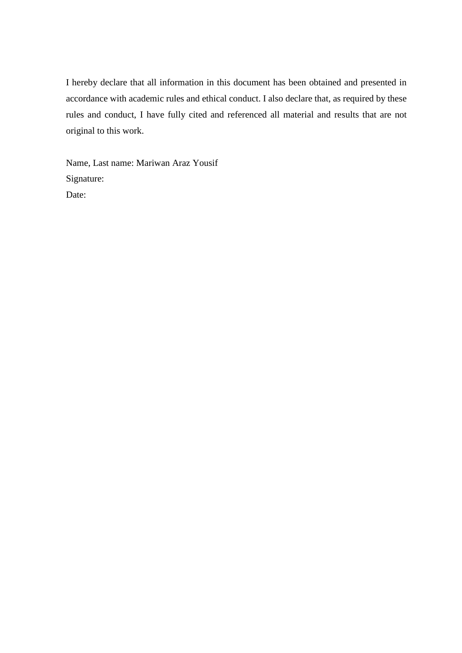I hereby declare that all information in this document has been obtained and presented in accordance with academic rules and ethical conduct. I also declare that, as required by these rules and conduct, I have fully cited and referenced all material and results that are not original to this work.

Name, Last name: Mariwan Araz Yousif Signature: Date: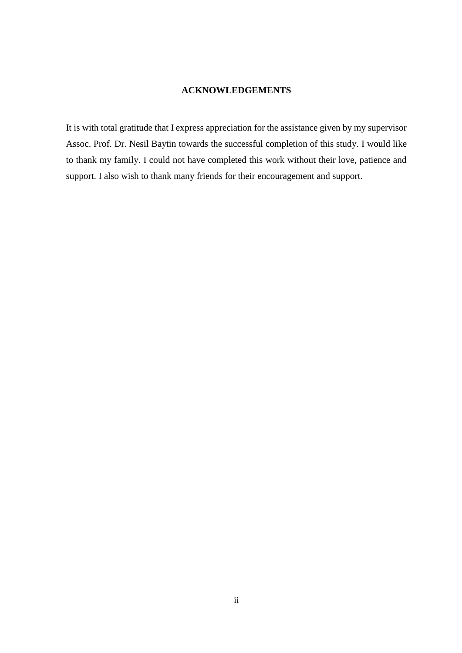### **ACKNOWLEDGEMENTS**

<span id="page-4-0"></span>It is with total gratitude that I express appreciation for the assistance given by my supervisor Assoc. Prof. Dr. Nesil Baytin towards the successful completion of this study. I would like to thank my family. I could not have completed this work without their love, patience and support. I also wish to thank many friends for their encouragement and support.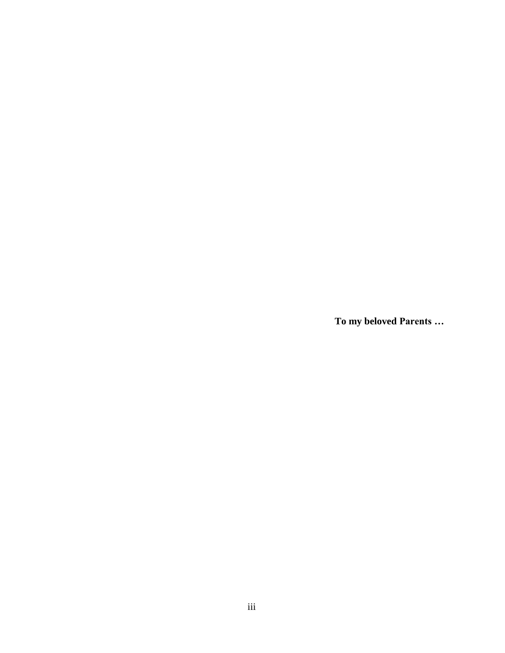<span id="page-5-0"></span>**To my beloved Parents …**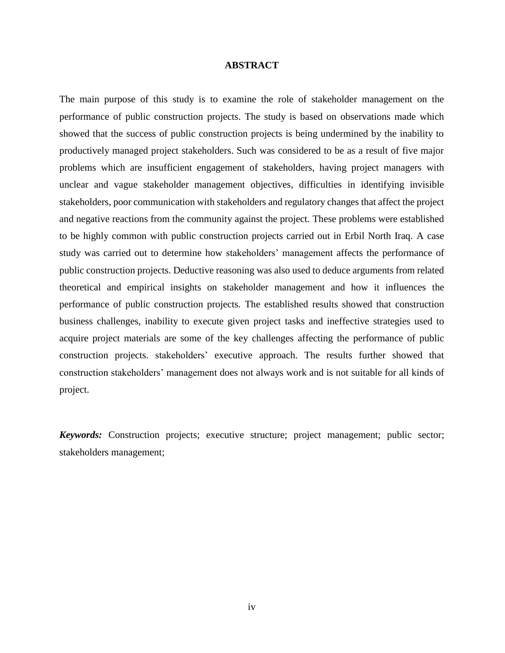#### **ABSTRACT**

The main purpose of this study is to examine the role of stakeholder management on the performance of public construction projects. The study is based on observations made which showed that the success of public construction projects is being undermined by the inability to productively managed project stakeholders. Such was considered to be as a result of five major problems which are insufficient engagement of stakeholders, having project managers with unclear and vague stakeholder management objectives, difficulties in identifying invisible stakeholders, poor communication with stakeholders and regulatory changes that affect the project and negative reactions from the community against the project. These problems were established to be highly common with public construction projects carried out in Erbil North Iraq. A case study was carried out to determine how stakeholders' management affects the performance of public construction projects. Deductive reasoning was also used to deduce arguments from related theoretical and empirical insights on stakeholder management and how it influences the performance of public construction projects. The established results showed that construction business challenges, inability to execute given project tasks and ineffective strategies used to acquire project materials are some of the key challenges affecting the performance of public construction projects. stakeholders' executive approach. The results further showed that construction stakeholders' management does not always work and is not suitable for all kinds of project.

*Keywords:* Construction projects; executive structure; project management; public sector; stakeholders management;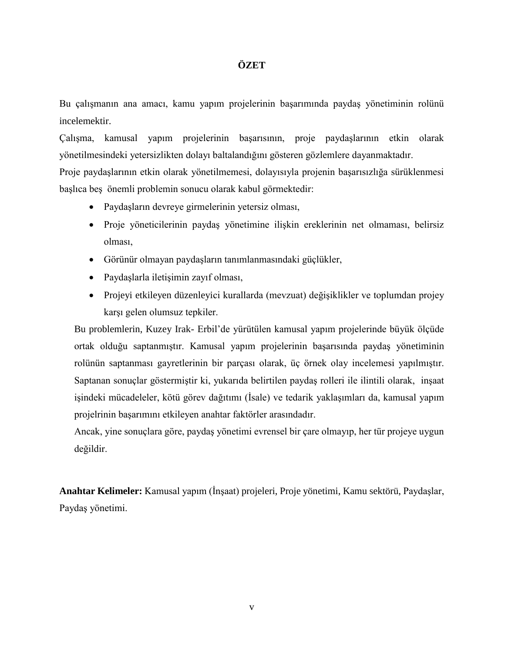## **ÖZET**

Bu çalışmanın ana amacı, kamu yapım projelerinin başarımında paydaş yönetiminin rolünü incelemektir.

Çalışma, kamusal yapım projelerinin başarısının, proje paydaşlarının etkin olarak yönetilmesindeki yetersizlikten dolayı baltalandığını gösteren gözlemlere dayanmaktadır.

Proje paydaşlarının etkin olarak yönetilmemesi, dolayısıyla projenin başarısızlığa sürüklenmesi başlıca beş önemli problemin sonucu olarak kabul görmektedir:

- Paydaşların devreye girmelerinin yetersiz olması,
- Proje yöneticilerinin paydaş yönetimine ilişkin ereklerinin net olmaması, belirsiz olması,
- Görünür olmayan paydaşların tanımlanmasındaki güçlükler,
- Paydaşlarla iletişimin zayıf olması,
- Projeyi etkileyen düzenleyici kurallarda (mevzuat) değişiklikler ve toplumdan projey karşı gelen olumsuz tepkiler.

Bu problemlerin, Kuzey Irak- Erbil'de yürütülen kamusal yapım projelerinde büyük ölçüde ortak olduğu saptanmıştır. Kamusal yapım projelerinin başarısında paydaş yönetiminin rolünün saptanması gayretlerinin bir parçası olarak, üç örnek olay incelemesi yapılmıştır. Saptanan sonuçlar göstermiştir ki, yukarıda belirtilen paydaş rolleri ile ilintili olarak, inşaat işindeki mücadeleler, kötü görev dağıtımı (İsale) ve tedarik yaklaşımları da, kamusal yapım projelrinin başarımını etkileyen anahtar faktörler arasındadır.

Ancak, yine sonuçlara göre, paydaş yönetimi evrensel bir çare olmayıp, her tür projeye uygun değildir.

**Anahtar Kelimeler:** Kamusal yapım (İnşaat) projeleri, Proje yönetimi, Kamu sektörü, Paydaşlar, Paydaş yönetimi.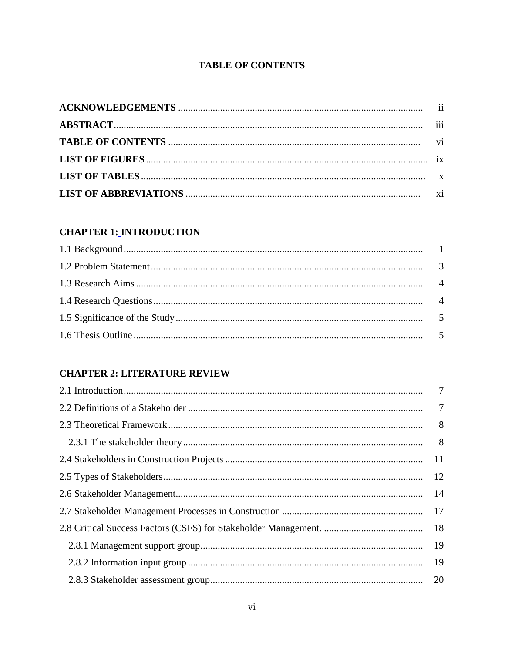## **TABLE OF CONTENTS**

<span id="page-8-0"></span>

## **CHAPTER 1: INTRODUCTION**

## **CHAPTER 2: LITERATURE REVIEW**

| 19 |
|----|
|    |
|    |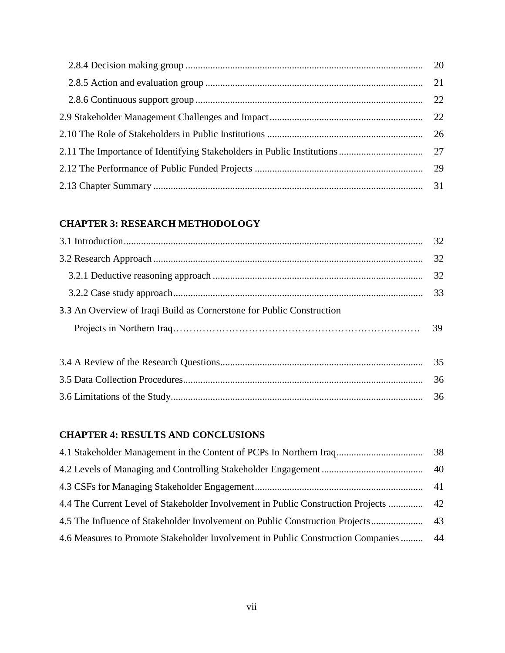## **[CHAPTER 3: RESEARCH METHODOLOGY](#page-45-0)**

| 3.3 An Overview of Iraqi Build as Cornerstone for Public Construction |    |
|-----------------------------------------------------------------------|----|
|                                                                       | 39 |
|                                                                       |    |

## **[CHAPTER 4: RESULTS AND CONCLUSIONS](#page-51-0)**

| 4.4 The Current Level of Stakeholder Involvement in Public Construction Projects  42  |  |
|---------------------------------------------------------------------------------------|--|
|                                                                                       |  |
| 44.6 Measures to Promote Stakeholder Involvement in Public Construction Companies  44 |  |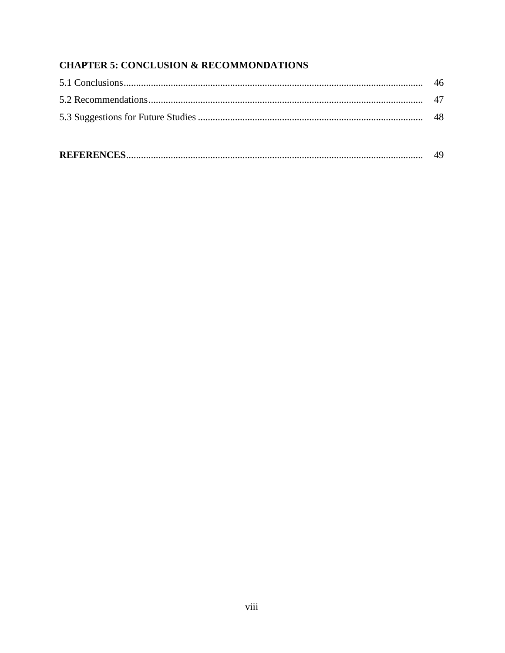## **CHAPTER 5: CONCLUSION & RECOMMONDATIONS**

|--|--|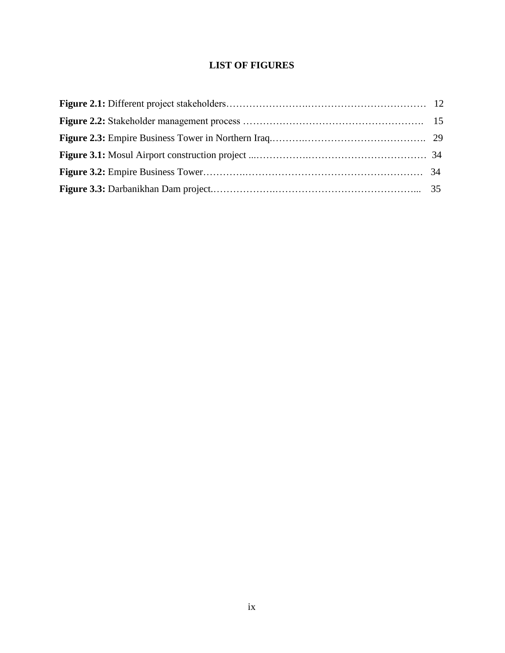## **LIST OF FIGURES**

<span id="page-11-0"></span>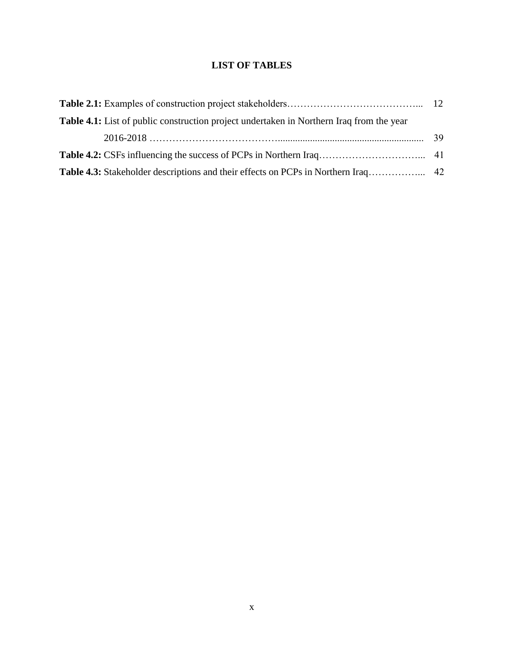## **LIST OF TABLES**

<span id="page-12-0"></span>

| <b>Table 4.1:</b> List of public construction project undertaken in Northern Iraq from the year |  |
|-------------------------------------------------------------------------------------------------|--|
|                                                                                                 |  |
|                                                                                                 |  |
|                                                                                                 |  |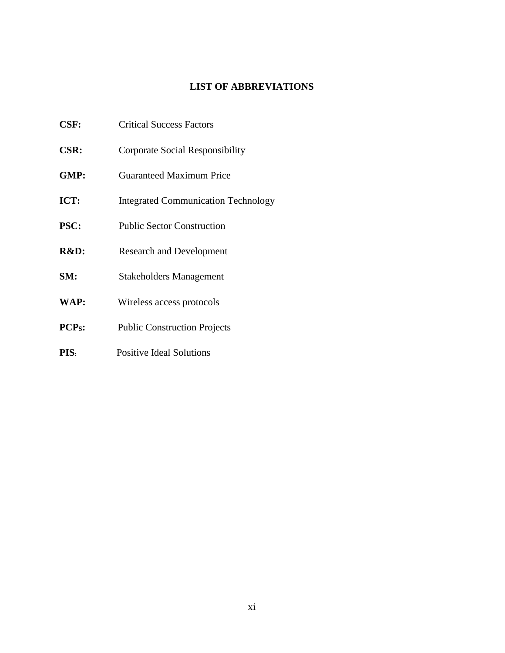## **LIST OF ABBREVIATIONS**

- <span id="page-13-0"></span>**CSF:** Critical Success Factors
- **CSR:** Corporate Social Responsibility
- **GMP:** Guaranteed Maximum Price
- **ICT:** Integrated Communication Technology
- **PSC:** Public Sector Construction
- **R&D:** Research and Development
- **SM:** Stakeholders Management
- **WAP:** Wireless access protocols
- **PCPS:** Public Construction Projects
- **PIS**: Positive Ideal Solutions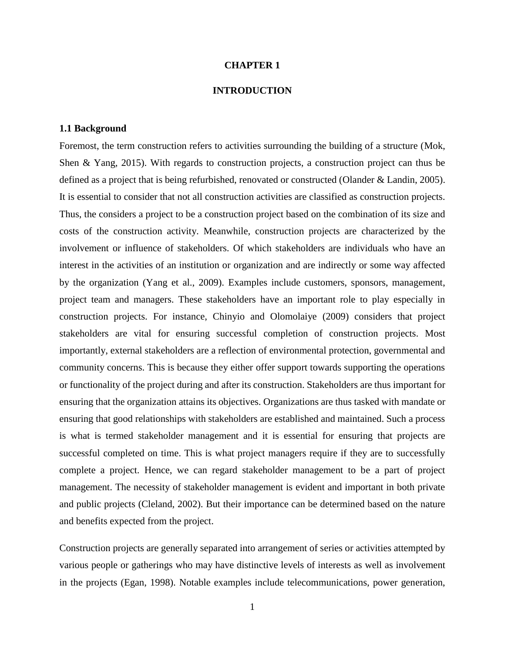#### **CHAPTER 1**

#### **INTRODUCTION**

#### <span id="page-14-2"></span><span id="page-14-1"></span><span id="page-14-0"></span>**1.1 Background**

Foremost, the term construction refers to activities surrounding the building of a structure (Mok, Shen & Yang, 2015). With regards to construction projects, a construction project can thus be defined as a project that is being refurbished, renovated or constructed (Olander & Landin, 2005). It is essential to consider that not all construction activities are classified as construction projects. Thus, the considers a project to be a construction project based on the combination of its size and costs of the construction activity. Meanwhile, construction projects are characterized by the involvement or influence of stakeholders. Of which stakeholders are individuals who have an interest in the activities of an institution or organization and are indirectly or some way affected by the organization (Yang et al., 2009). Examples include customers, sponsors, management, project team and managers. These stakeholders have an important role to play especially in construction projects. For instance, Chinyio and Olomolaiye (2009) considers that project stakeholders are vital for ensuring successful completion of construction projects. Most importantly, external stakeholders are a reflection of environmental protection, governmental and community concerns. This is because they either offer support towards supporting the operations or functionality of the project during and after its construction. Stakeholders are thus important for ensuring that the organization attains its objectives. Organizations are thus tasked with mandate or ensuring that good relationships with stakeholders are established and maintained. Such a process is what is termed stakeholder management and it is essential for ensuring that projects are successful completed on time. This is what project managers require if they are to successfully complete a project. Hence, we can regard stakeholder management to be a part of project management. The necessity of stakeholder management is evident and important in both private and public projects (Cleland, 2002). But their importance can be determined based on the nature and benefits expected from the project.

Construction projects are generally separated into arrangement of series or activities attempted by various people or gatherings who may have distinctive levels of interests as well as involvement in the projects (Egan, 1998). Notable examples include telecommunications, power generation,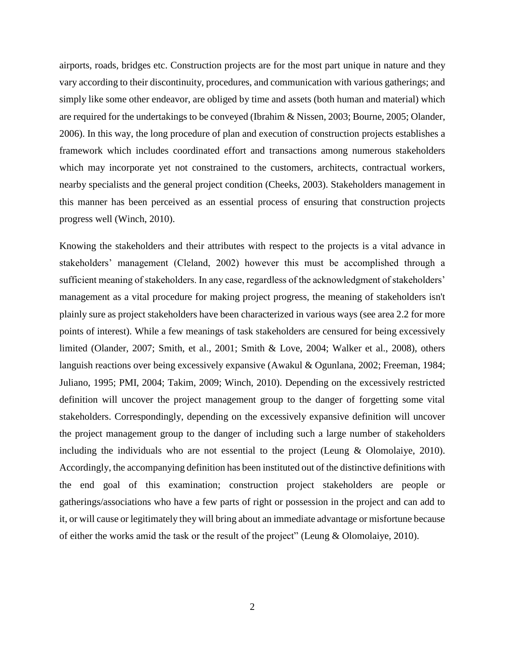airports, roads, bridges etc. Construction projects are for the most part unique in nature and they vary according to their discontinuity, procedures, and communication with various gatherings; and simply like some other endeavor, are obliged by time and assets (both human and material) which are required for the undertakings to be conveyed (Ibrahim & Nissen, 2003; Bourne, 2005; Olander, 2006). In this way, the long procedure of plan and execution of construction projects establishes a framework which includes coordinated effort and transactions among numerous stakeholders which may incorporate yet not constrained to the customers, architects, contractual workers, nearby specialists and the general project condition (Cheeks, 2003). Stakeholders management in this manner has been perceived as an essential process of ensuring that construction projects progress well (Winch, 2010).

Knowing the stakeholders and their attributes with respect to the projects is a vital advance in stakeholders' management (Cleland, 2002) however this must be accomplished through a sufficient meaning of stakeholders. In any case, regardless of the acknowledgment of stakeholders' management as a vital procedure for making project progress, the meaning of stakeholders isn't plainly sure as project stakeholders have been characterized in various ways (see area 2.2 for more points of interest). While a few meanings of task stakeholders are censured for being excessively limited (Olander, 2007; Smith, et al., 2001; Smith & Love, 2004; Walker et al., 2008), others languish reactions over being excessively expansive (Awakul & Ogunlana, 2002; Freeman, 1984; Juliano, 1995; PMI, 2004; Takim, 2009; Winch, 2010). Depending on the excessively restricted definition will uncover the project management group to the danger of forgetting some vital stakeholders. Correspondingly, depending on the excessively expansive definition will uncover the project management group to the danger of including such a large number of stakeholders including the individuals who are not essential to the project (Leung & Olomolaiye, 2010). Accordingly, the accompanying definition has been instituted out of the distinctive definitions with the end goal of this examination; construction project stakeholders are people or gatherings/associations who have a few parts of right or possession in the project and can add to it, or will cause or legitimately they will bring about an immediate advantage or misfortune because of either the works amid the task or the result of the project" (Leung & Olomolaiye, 2010).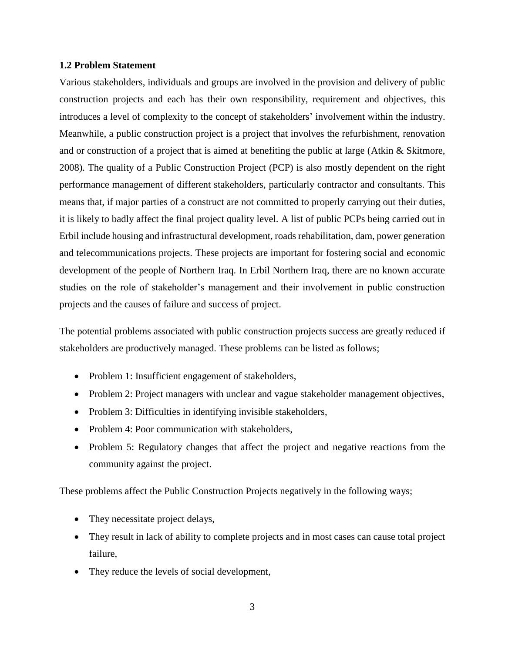#### <span id="page-16-0"></span>**1.2 Problem Statement**

Various stakeholders, individuals and groups are involved in the provision and delivery of public construction projects and each has their own responsibility, requirement and objectives, this introduces a level of complexity to the concept of stakeholders' involvement within the industry. Meanwhile, a public construction project is a project that involves the refurbishment, renovation and or construction of a project that is aimed at benefiting the public at large (Atkin & Skitmore, 2008). The quality of a Public Construction Project (PCP) is also mostly dependent on the right performance management of different stakeholders, particularly contractor and consultants. This means that, if major parties of a construct are not committed to properly carrying out their duties, it is likely to badly affect the final project quality level. A list of public PCPs being carried out in Erbil include housing and infrastructural development, roads rehabilitation, dam, power generation and telecommunications projects. These projects are important for fostering social and economic development of the people of Northern Iraq. In Erbil Northern Iraq, there are no known accurate studies on the role of stakeholder's management and their involvement in public construction projects and the causes of failure and success of project.

The potential problems associated with public construction projects success are greatly reduced if stakeholders are productively managed. These problems can be listed as follows;

- Problem 1: Insufficient engagement of stakeholders,
- Problem 2: Project managers with unclear and vague stakeholder management objectives,
- Problem 3: Difficulties in identifying invisible stakeholders,
- Problem 4: Poor communication with stakeholders,
- Problem 5: Regulatory changes that affect the project and negative reactions from the community against the project.

These problems affect the Public Construction Projects negatively in the following ways;

- They necessitate project delays,
- They result in lack of ability to complete projects and in most cases can cause total project failure,
- They reduce the levels of social development,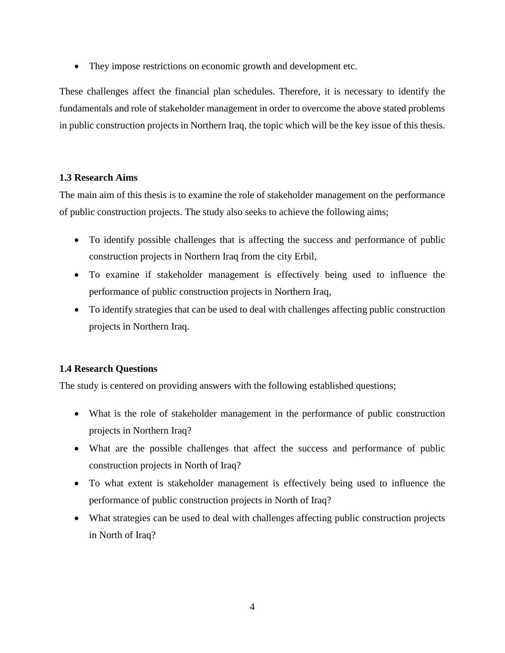• They impose restrictions on economic growth and development etc.

These challenges affect the financial plan schedules. Therefore, it is necessary to identify the fundamentals and role of stakeholder management in order to overcome the above stated problems in public construction projects in Northern Iraq, the topic which will be the key issue of this thesis.

## <span id="page-17-0"></span>**1.3 Research Aims**

The main aim of this thesis is to examine the role of stakeholder management on the performance of public construction projects. The study also seeks to achieve the following aims;

- To identify possible challenges that is affecting the success and performance of public construction projects in Northern Iraq from the city Erbil,
- To examine if stakeholder management is effectively being used to influence the performance of public construction projects in Northern Iraq,
- To identify strategies that can be used to deal with challenges affecting public construction projects in Northern Iraq.

## <span id="page-17-1"></span>**1.4 Research Questions**

The study is centered on providing answers with the following established questions;

- What is the role of stakeholder management in the performance of public construction projects in Northern Iraq?
- What are the possible challenges that affect the success and performance of public construction projects in North of Iraq?
- To what extent is stakeholder management is effectively being used to influence the performance of public construction projects in North of Iraq?
- What strategies can be used to deal with challenges affecting public construction projects in North of Iraq?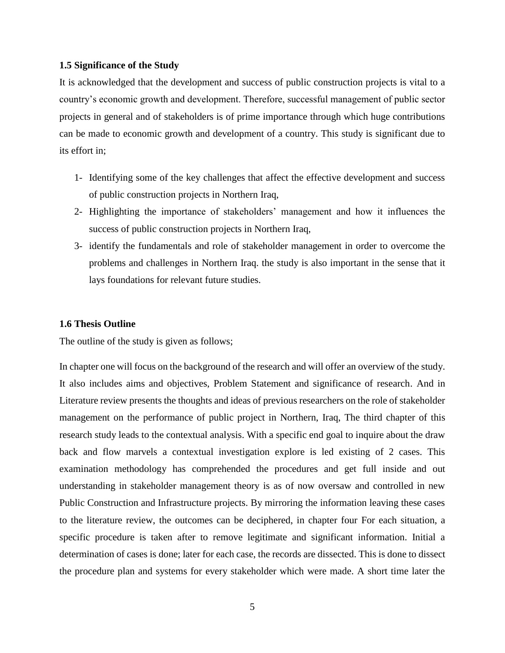#### <span id="page-18-0"></span>**1.5 Significance of the Study**

It is acknowledged that the development and success of public construction projects is vital to a country's economic growth and development. Therefore, successful management of public sector projects in general and of stakeholders is of prime importance through which huge contributions can be made to economic growth and development of a country. This study is significant due to its effort in;

- 1- Identifying some of the key challenges that affect the effective development and success of public construction projects in Northern Iraq,
- 2- Highlighting the importance of stakeholders' management and how it influences the success of public construction projects in Northern Iraq,
- 3- identify the fundamentals and role of stakeholder management in order to overcome the problems and challenges in Northern Iraq. the study is also important in the sense that it lays foundations for relevant future studies.

#### <span id="page-18-1"></span>**1.6 Thesis Outline**

The outline of the study is given as follows;

In chapter one will focus on the background of the research and will offer an overview of the study. It also includes aims and objectives, Problem Statement and significance of research. And in Literature review presents the thoughts and ideas of previous researchers on the role of stakeholder management on the performance of public project in Northern, Iraq, The third chapter of this research study leads to the contextual analysis. With a specific end goal to inquire about the draw back and flow marvels a contextual investigation explore is led existing of 2 cases. This examination methodology has comprehended the procedures and get full inside and out understanding in stakeholder management theory is as of now oversaw and controlled in new Public Construction and Infrastructure projects. By mirroring the information leaving these cases to the literature review, the outcomes can be deciphered, in chapter four For each situation, a specific procedure is taken after to remove legitimate and significant information. Initial a determination of cases is done; later for each case, the records are dissected. This is done to dissect the procedure plan and systems for every stakeholder which were made. A short time later the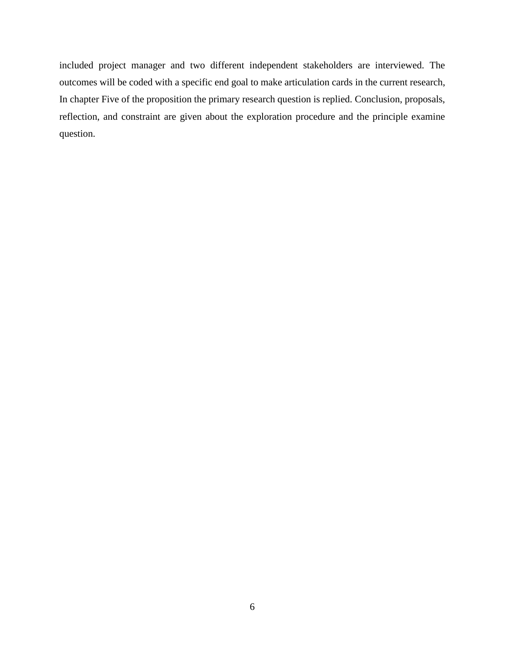included project manager and two different independent stakeholders are interviewed. The outcomes will be coded with a specific end goal to make articulation cards in the current research, In chapter Five of the proposition the primary research question is replied. Conclusion, proposals, reflection, and constraint are given about the exploration procedure and the principle examine question.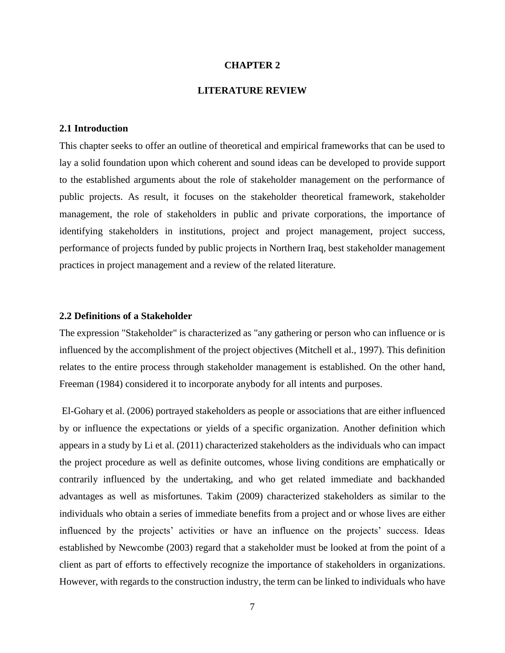#### **CHAPTER 2**

#### **LITERATURE REVIEW**

#### <span id="page-20-1"></span><span id="page-20-0"></span>**2.1 Introduction**

This chapter seeks to offer an outline of theoretical and empirical frameworks that can be used to lay a solid foundation upon which coherent and sound ideas can be developed to provide support to the established arguments about the role of stakeholder management on the performance of public projects. As result, it focuses on the stakeholder theoretical framework, stakeholder management, the role of stakeholders in public and private corporations, the importance of identifying stakeholders in institutions, project and project management, project success, performance of projects funded by public projects in Northern Iraq, best stakeholder management practices in project management and a review of the related literature.

#### <span id="page-20-2"></span>**2.2 Definitions of a Stakeholder**

The expression "Stakeholder" is characterized as "any gathering or person who can influence or is influenced by the accomplishment of the project objectives (Mitchell et al., 1997). This definition relates to the entire process through stakeholder management is established. On the other hand, Freeman (1984) considered it to incorporate anybody for all intents and purposes.

El-Gohary et al. (2006) portrayed stakeholders as people or associations that are either influenced by or influence the expectations or yields of a specific organization. Another definition which appears in a study by Li et al. (2011) characterized stakeholders as the individuals who can impact the project procedure as well as definite outcomes, whose living conditions are emphatically or contrarily influenced by the undertaking, and who get related immediate and backhanded advantages as well as misfortunes. Takim (2009) characterized stakeholders as similar to the individuals who obtain a series of immediate benefits from a project and or whose lives are either influenced by the projects' activities or have an influence on the projects' success. Ideas established by Newcombe (2003) regard that a stakeholder must be looked at from the point of a client as part of efforts to effectively recognize the importance of stakeholders in organizations. However, with regards to the construction industry, the term can be linked to individuals who have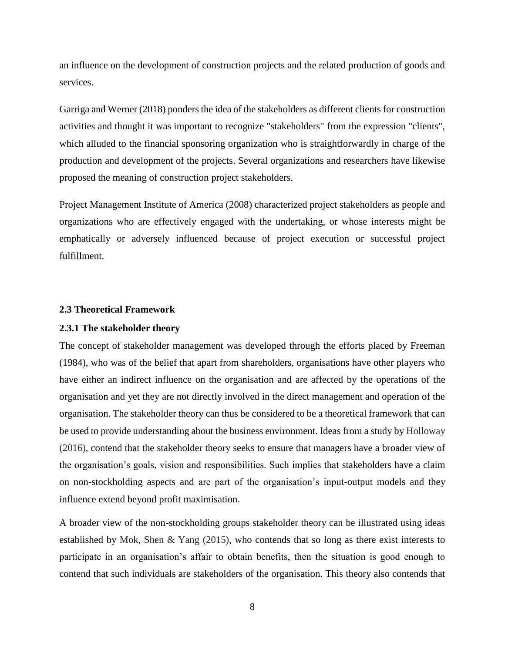an influence on the development of construction projects and the related production of goods and services.

Garriga and Werner (2018) ponders the idea of the stakeholders as different clients for construction activities and thought it was important to recognize "stakeholders" from the expression "clients", which alluded to the financial sponsoring organization who is straightforwardly in charge of the production and development of the projects. Several organizations and researchers have likewise proposed the meaning of construction project stakeholders.

Project Management Institute of America (2008) characterized project stakeholders as people and organizations who are effectively engaged with the undertaking, or whose interests might be emphatically or adversely influenced because of project execution or successful project fulfillment.

#### <span id="page-21-0"></span>**2.3 Theoretical Framework**

#### <span id="page-21-1"></span>**2.3.1 The stakeholder theory**

The concept of stakeholder management was developed through the efforts placed by Freeman (1984), who was of the belief that apart from shareholders, organisations have other players who have either an indirect influence on the organisation and are affected by the operations of the organisation and yet they are not directly involved in the direct management and operation of the organisation. The stakeholder theory can thus be considered to be a theoretical framework that can be used to provide understanding about the business environment. Ideas from a study by Holloway (2016), contend that the stakeholder theory seeks to ensure that managers have a broader view of the organisation's goals, vision and responsibilities. Such implies that stakeholders have a claim on non-stockholding aspects and are part of the organisation's input-output models and they influence extend beyond profit maximisation.

A broader view of the non-stockholding groups stakeholder theory can be illustrated using ideas established by Mok, Shen & Yang (2015), who contends that so long as there exist interests to participate in an organisation's affair to obtain benefits, then the situation is good enough to contend that such individuals are stakeholders of the organisation. This theory also contends that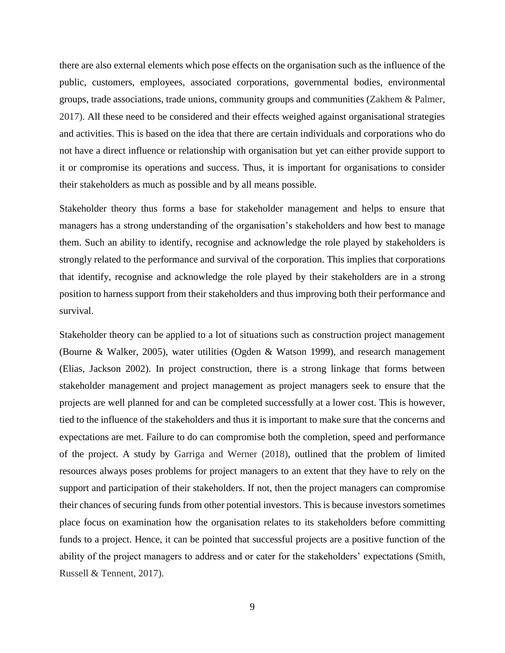there are also external elements which pose effects on the organisation such as the influence of the public, customers, employees, associated corporations, governmental bodies, environmental groups, trade associations, trade unions, community groups and communities (Zakhem & Palmer, 2017). All these need to be considered and their effects weighed against organisational strategies and activities. This is based on the idea that there are certain individuals and corporations who do not have a direct influence or relationship with organisation but yet can either provide support to it or compromise its operations and success. Thus, it is important for organisations to consider their stakeholders as much as possible and by all means possible.

Stakeholder theory thus forms a base for stakeholder management and helps to ensure that managers has a strong understanding of the organisation's stakeholders and how best to manage them. Such an ability to identify, recognise and acknowledge the role played by stakeholders is strongly related to the performance and survival of the corporation. This implies that corporations that identify, recognise and acknowledge the role played by their stakeholders are in a strong position to harness support from their stakeholders and thus improving both their performance and survival.

Stakeholder theory can be applied to a lot of situations such as construction project management (Bourne & Walker, 2005), water utilities (Ogden & Watson 1999), and research management (Elias, Jackson 2002). In project construction, there is a strong linkage that forms between stakeholder management and project management as project managers seek to ensure that the projects are well planned for and can be completed successfully at a lower cost. This is however, tied to the influence of the stakeholders and thus it is important to make sure that the concerns and expectations are met. Failure to do can compromise both the completion, speed and performance of the project. A study by Garriga and Werner (2018), outlined that the problem of limited resources always poses problems for project managers to an extent that they have to rely on the support and participation of their stakeholders. If not, then the project managers can compromise their chances of securing funds from other potential investors. This is because investors sometimes place focus on examination how the organisation relates to its stakeholders before committing funds to a project. Hence, it can be pointed that successful projects are a positive function of the ability of the project managers to address and or cater for the stakeholders' expectations (Smith, Russell & Tennent, 2017).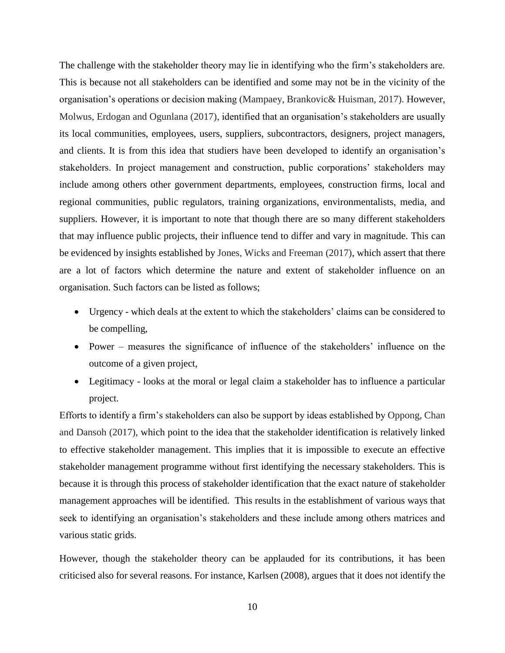The challenge with the stakeholder theory may lie in identifying who the firm's stakeholders are. This is because not all stakeholders can be identified and some may not be in the vicinity of the organisation's operations or decision making (Mampaey, Brankovic& Huisman, 2017). However, Molwus, Erdogan and Ogunlana (2017), identified that an organisation's stakeholders are usually its local communities, employees, users, suppliers, subcontractors, designers, project managers, and clients. It is from this idea that studiers have been developed to identify an organisation's stakeholders. In project management and construction, public corporations' stakeholders may include among others other government departments, employees, construction firms, local and regional communities, public regulators, training organizations, environmentalists, media, and suppliers. However, it is important to note that though there are so many different stakeholders that may influence public projects, their influence tend to differ and vary in magnitude. This can be evidenced by insights established by Jones, Wicks and Freeman (2017), which assert that there are a lot of factors which determine the nature and extent of stakeholder influence on an organisation. Such factors can be listed as follows;

- Urgency which deals at the extent to which the stakeholders' claims can be considered to be compelling,
- Power measures the significance of influence of the stakeholders' influence on the outcome of a given project,
- Legitimacy looks at the moral or legal claim a stakeholder has to influence a particular project.

Efforts to identify a firm's stakeholders can also be support by ideas established by Oppong, Chan and Dansoh (2017), which point to the idea that the stakeholder identification is relatively linked to effective stakeholder management. This implies that it is impossible to execute an effective stakeholder management programme without first identifying the necessary stakeholders. This is because it is through this process of stakeholder identification that the exact nature of stakeholder management approaches will be identified. This results in the establishment of various ways that seek to identifying an organisation's stakeholders and these include among others matrices and various static grids.

However, though the stakeholder theory can be applauded for its contributions, it has been criticised also for several reasons. For instance, Karlsen (2008), argues that it does not identify the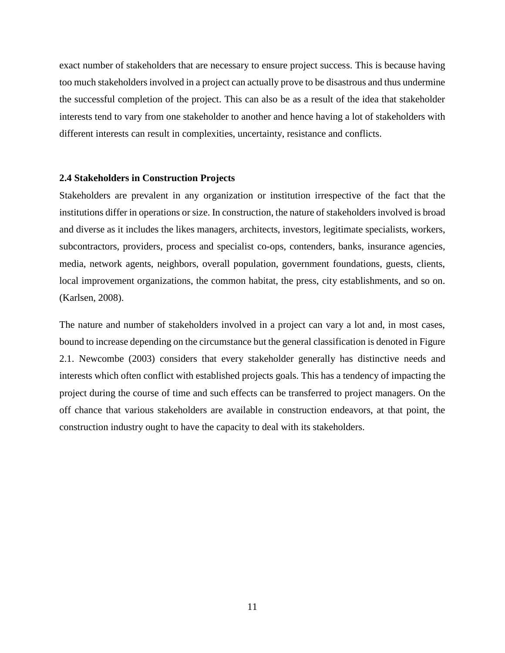exact number of stakeholders that are necessary to ensure project success. This is because having too much stakeholders involved in a project can actually prove to be disastrous and thus undermine the successful completion of the project. This can also be as a result of the idea that stakeholder interests tend to vary from one stakeholder to another and hence having a lot of stakeholders with different interests can result in complexities, uncertainty, resistance and conflicts.

#### <span id="page-24-0"></span>**2.4 Stakeholders in Construction Projects**

Stakeholders are prevalent in any organization or institution irrespective of the fact that the institutions differ in operations or size. In construction, the nature of stakeholders involved is broad and diverse as it includes the likes managers, architects, investors, legitimate specialists, workers, subcontractors, providers, process and specialist co-ops, contenders, banks, insurance agencies, media, network agents, neighbors, overall population, government foundations, guests, clients, local improvement organizations, the common habitat, the press, city establishments, and so on. (Karlsen, 2008).

The nature and number of stakeholders involved in a project can vary a lot and, in most cases, bound to increase depending on the circumstance but the general classification is denoted in Figure 2.1. Newcombe (2003) considers that every stakeholder generally has distinctive needs and interests which often conflict with established projects goals. This has a tendency of impacting the project during the course of time and such effects can be transferred to project managers. On the off chance that various stakeholders are available in construction endeavors, at that point, the construction industry ought to have the capacity to deal with its stakeholders.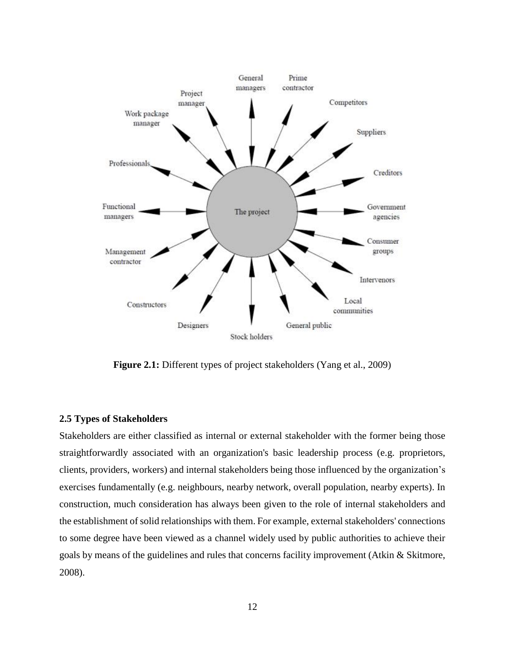

**Figure 2.1:** Different types of project stakeholders (Yang et al., 2009)

#### <span id="page-25-0"></span>**2.5 Types of Stakeholders**

Stakeholders are either classified as internal or external stakeholder with the former being those straightforwardly associated with an organization's basic leadership process (e.g. proprietors, clients, providers, workers) and internal stakeholders being those influenced by the organization's exercises fundamentally (e.g. neighbours, nearby network, overall population, nearby experts). In construction, much consideration has always been given to the role of internal stakeholders and the establishment of solid relationships with them. For example, external stakeholders' connections to some degree have been viewed as a channel widely used by public authorities to achieve their goals by means of the guidelines and rules that concerns facility improvement (Atkin & Skitmore, 2008).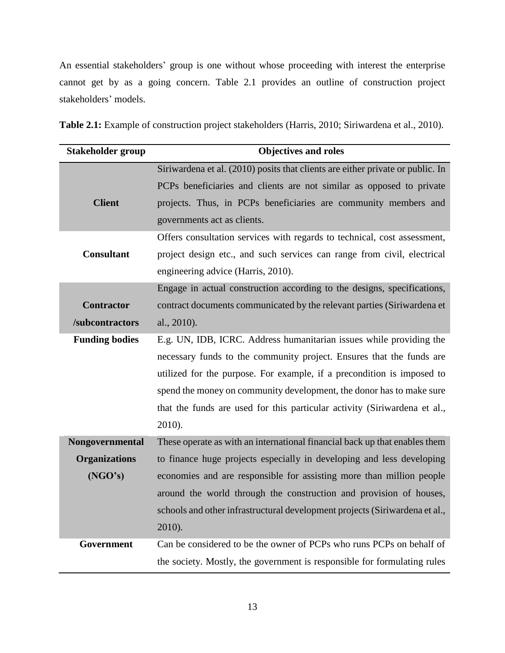An essential stakeholders' group is one without whose proceeding with interest the enterprise cannot get by as a going concern. Table 2.1 provides an outline of construction project stakeholders' models.

**Table 2.1:** Example of construction project stakeholders (Harris, 2010; Siriwardena et al., 2010).

| <b>Stakeholder group</b> | <b>Objectives and roles</b>                                                    |  |  |  |
|--------------------------|--------------------------------------------------------------------------------|--|--|--|
|                          | Siriwardena et al. (2010) posits that clients are either private or public. In |  |  |  |
|                          | PCPs beneficiaries and clients are not similar as opposed to private           |  |  |  |
| <b>Client</b>            | projects. Thus, in PCPs beneficiaries are community members and                |  |  |  |
|                          | governments act as clients.                                                    |  |  |  |
|                          | Offers consultation services with regards to technical, cost assessment,       |  |  |  |
| <b>Consultant</b>        | project design etc., and such services can range from civil, electrical        |  |  |  |
|                          | engineering advice (Harris, 2010).                                             |  |  |  |
|                          | Engage in actual construction according to the designs, specifications,        |  |  |  |
| <b>Contractor</b>        | contract documents communicated by the relevant parties (Siriwardena et        |  |  |  |
| /subcontractors          | al., 2010).                                                                    |  |  |  |
| <b>Funding bodies</b>    | E.g. UN, IDB, ICRC. Address humanitarian issues while providing the            |  |  |  |
|                          | necessary funds to the community project. Ensures that the funds are           |  |  |  |
|                          | utilized for the purpose. For example, if a precondition is imposed to         |  |  |  |
|                          | spend the money on community development, the donor has to make sure           |  |  |  |
|                          | that the funds are used for this particular activity (Siriwardena et al.,      |  |  |  |
|                          | 2010).                                                                         |  |  |  |
| Nongovernmental          | These operate as with an international financial back up that enables them     |  |  |  |
| <b>Organizations</b>     | to finance huge projects especially in developing and less developing          |  |  |  |
| (NGO's)                  | economies and are responsible for assisting more than million people           |  |  |  |
|                          | around the world through the construction and provision of houses,             |  |  |  |
|                          | schools and other infrastructural development projects (Siriwardena et al.,    |  |  |  |
|                          | 2010).                                                                         |  |  |  |
| Government               | Can be considered to be the owner of PCPs who runs PCPs on behalf of           |  |  |  |
|                          | the society. Mostly, the government is responsible for formulating rules       |  |  |  |
|                          |                                                                                |  |  |  |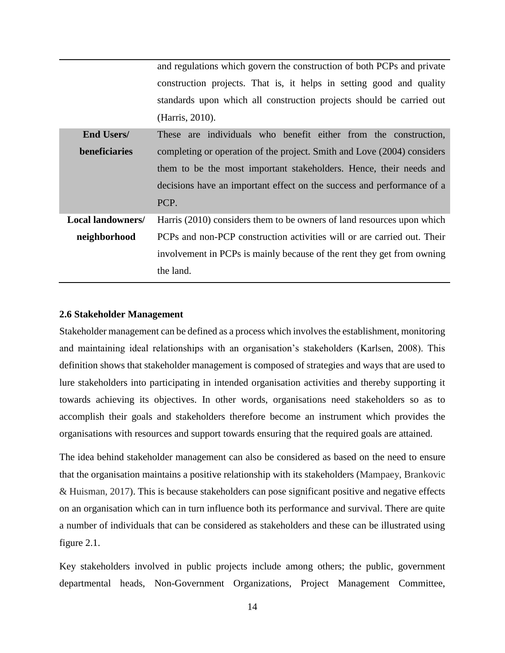|                          | and regulations which govern the construction of both PCPs and private  |  |  |  |  |  |
|--------------------------|-------------------------------------------------------------------------|--|--|--|--|--|
|                          | construction projects. That is, it helps in setting good and quality    |  |  |  |  |  |
|                          | standards upon which all construction projects should be carried out    |  |  |  |  |  |
|                          | (Harris, 2010).                                                         |  |  |  |  |  |
| <b>End Users/</b>        | These are individuals who benefit either from the construction,         |  |  |  |  |  |
| <b>beneficiaries</b>     | completing or operation of the project. Smith and Love (2004) considers |  |  |  |  |  |
|                          | them to be the most important stakeholders. Hence, their needs and      |  |  |  |  |  |
|                          | decisions have an important effect on the success and performance of a  |  |  |  |  |  |
|                          | PCP.                                                                    |  |  |  |  |  |
| <b>Local landowners/</b> | Harris (2010) considers them to be owners of land resources upon which  |  |  |  |  |  |
| neighborhood             | PCPs and non-PCP construction activities will or are carried out. Their |  |  |  |  |  |
|                          | involvement in PCPs is mainly because of the rent they get from owning  |  |  |  |  |  |
|                          | the land.                                                               |  |  |  |  |  |

#### <span id="page-27-0"></span>**2.6 Stakeholder Management**

Stakeholder management can be defined as a process which involves the establishment, monitoring and maintaining ideal relationships with an organisation's stakeholders (Karlsen, 2008). This definition shows that stakeholder management is composed of strategies and ways that are used to lure stakeholders into participating in intended organisation activities and thereby supporting it towards achieving its objectives. In other words, organisations need stakeholders so as to accomplish their goals and stakeholders therefore become an instrument which provides the organisations with resources and support towards ensuring that the required goals are attained.

The idea behind stakeholder management can also be considered as based on the need to ensure that the organisation maintains a positive relationship with its stakeholders (Mampaey, Brankovic & Huisman, 2017). This is because stakeholders can pose significant positive and negative effects on an organisation which can in turn influence both its performance and survival. There are quite a number of individuals that can be considered as stakeholders and these can be illustrated using figure 2.1.

Key stakeholders involved in public projects include among others; the public, government departmental heads, Non-Government Organizations, Project Management Committee,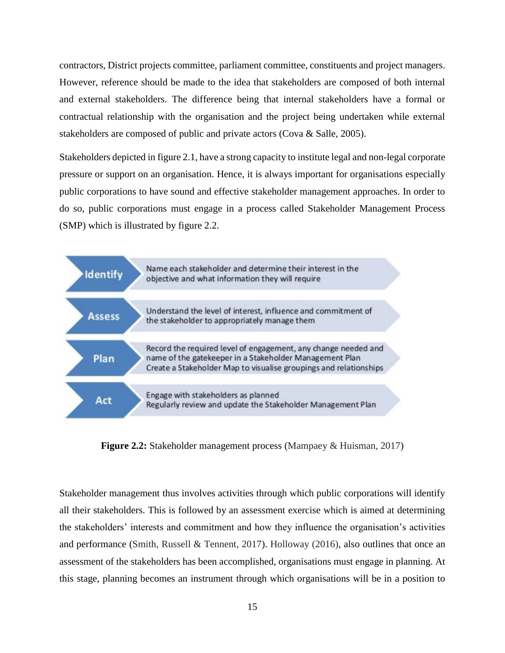contractors, District projects committee, parliament committee, constituents and project managers. However, reference should be made to the idea that stakeholders are composed of both internal and external stakeholders. The difference being that internal stakeholders have a formal or contractual relationship with the organisation and the project being undertaken while external stakeholders are composed of public and private actors (Cova & Salle, 2005).

Stakeholders depicted in figure 2.1, have a strong capacity to institute legal and non-legal corporate pressure or support on an organisation. Hence, it is always important for organisations especially public corporations to have sound and effective stakeholder management approaches. In order to do so, public corporations must engage in a process called Stakeholder Management Process (SMP) which is illustrated by figure 2.2.



**Figure 2.2:** Stakeholder management process (Mampaey & Huisman, 2017)

Stakeholder management thus involves activities through which public corporations will identify all their stakeholders. This is followed by an assessment exercise which is aimed at determining the stakeholders' interests and commitment and how they influence the organisation's activities and performance (Smith, Russell & Tennent, 2017). Holloway (2016), also outlines that once an assessment of the stakeholders has been accomplished, organisations must engage in planning. At this stage, planning becomes an instrument through which organisations will be in a position to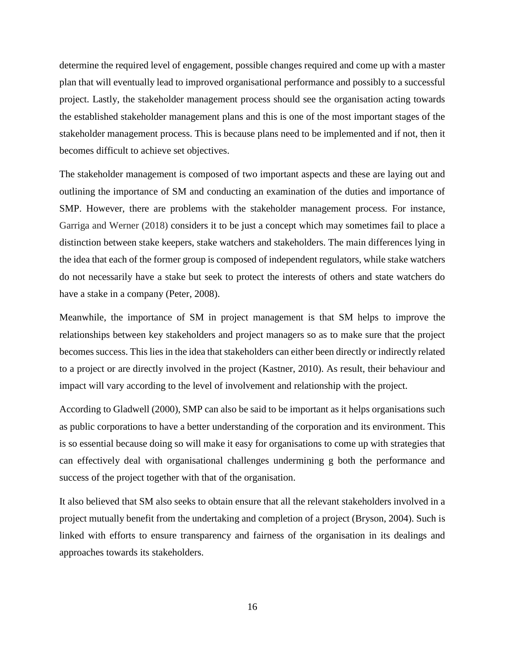determine the required level of engagement, possible changes required and come up with a master plan that will eventually lead to improved organisational performance and possibly to a successful project. Lastly, the stakeholder management process should see the organisation acting towards the established stakeholder management plans and this is one of the most important stages of the stakeholder management process. This is because plans need to be implemented and if not, then it becomes difficult to achieve set objectives.

The stakeholder management is composed of two important aspects and these are laying out and outlining the importance of SM and conducting an examination of the duties and importance of SMP. However, there are problems with the stakeholder management process. For instance, Garriga and Werner (2018) considers it to be just a concept which may sometimes fail to place a distinction between stake keepers, stake watchers and stakeholders. The main differences lying in the idea that each of the former group is composed of independent regulators, while stake watchers do not necessarily have a stake but seek to protect the interests of others and state watchers do have a stake in a company (Peter, 2008).

Meanwhile, the importance of SM in project management is that SM helps to improve the relationships between key stakeholders and project managers so as to make sure that the project becomes success. This lies in the idea that stakeholders can either been directly or indirectly related to a project or are directly involved in the project (Kastner, 2010). As result, their behaviour and impact will vary according to the level of involvement and relationship with the project.

According to Gladwell (2000), SMP can also be said to be important as it helps organisations such as public corporations to have a better understanding of the corporation and its environment. This is so essential because doing so will make it easy for organisations to come up with strategies that can effectively deal with organisational challenges undermining g both the performance and success of the project together with that of the organisation.

It also believed that SM also seeks to obtain ensure that all the relevant stakeholders involved in a project mutually benefit from the undertaking and completion of a project (Bryson, 2004). Such is linked with efforts to ensure transparency and fairness of the organisation in its dealings and approaches towards its stakeholders.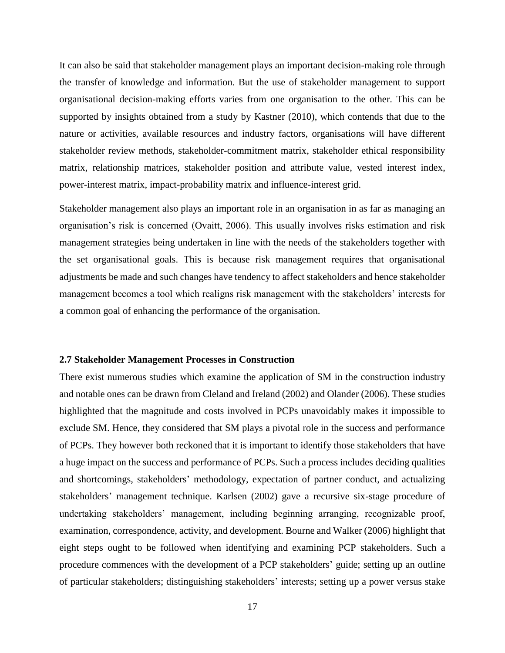It can also be said that stakeholder management plays an important decision-making role through the transfer of knowledge and information. But the use of stakeholder management to support organisational decision-making efforts varies from one organisation to the other. This can be supported by insights obtained from a study by Kastner (2010), which contends that due to the nature or activities, available resources and industry factors, organisations will have different stakeholder review methods, stakeholder-commitment matrix, stakeholder ethical responsibility matrix, relationship matrices, stakeholder position and attribute value, vested interest index, power-interest matrix, impact-probability matrix and influence-interest grid.

Stakeholder management also plays an important role in an organisation in as far as managing an organisation's risk is concerned (Ovaitt, 2006). This usually involves risks estimation and risk management strategies being undertaken in line with the needs of the stakeholders together with the set organisational goals. This is because risk management requires that organisational adjustments be made and such changes have tendency to affect stakeholders and hence stakeholder management becomes a tool which realigns risk management with the stakeholders' interests for a common goal of enhancing the performance of the organisation.

#### <span id="page-30-0"></span>**2.7 Stakeholder Management Processes in Construction**

There exist numerous studies which examine the application of SM in the construction industry and notable ones can be drawn from Cleland and Ireland (2002) and Olander (2006). These studies highlighted that the magnitude and costs involved in PCPs unavoidably makes it impossible to exclude SM. Hence, they considered that SM plays a pivotal role in the success and performance of PCPs. They however both reckoned that it is important to identify those stakeholders that have a huge impact on the success and performance of PCPs. Such a process includes deciding qualities and shortcomings, stakeholders' methodology, expectation of partner conduct, and actualizing stakeholders' management technique. Karlsen (2002) gave a recursive six-stage procedure of undertaking stakeholders' management, including beginning arranging, recognizable proof, examination, correspondence, activity, and development. Bourne and Walker (2006) highlight that eight steps ought to be followed when identifying and examining PCP stakeholders. Such a procedure commences with the development of a PCP stakeholders' guide; setting up an outline of particular stakeholders; distinguishing stakeholders' interests; setting up a power versus stake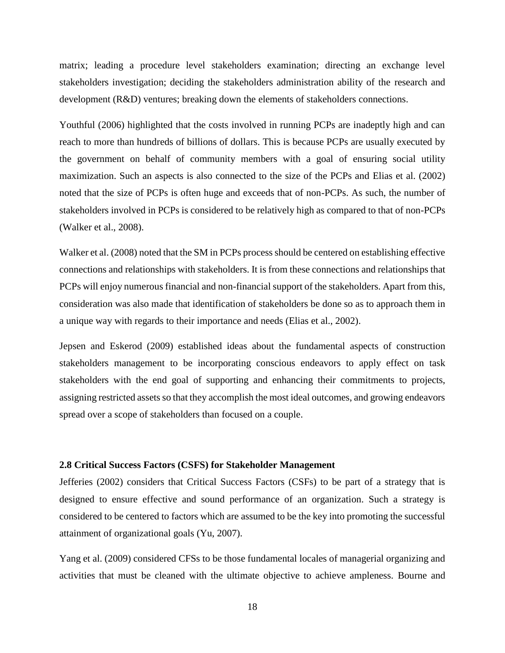matrix; leading a procedure level stakeholders examination; directing an exchange level stakeholders investigation; deciding the stakeholders administration ability of the research and development (R&D) ventures; breaking down the elements of stakeholders connections.

Youthful (2006) highlighted that the costs involved in running PCPs are inadeptly high and can reach to more than hundreds of billions of dollars. This is because PCPs are usually executed by the government on behalf of community members with a goal of ensuring social utility maximization. Such an aspects is also connected to the size of the PCPs and Elias et al. (2002) noted that the size of PCPs is often huge and exceeds that of non-PCPs. As such, the number of stakeholders involved in PCPs is considered to be relatively high as compared to that of non-PCPs (Walker et al., 2008).

Walker et al. (2008) noted that the SM in PCPs process should be centered on establishing effective connections and relationships with stakeholders. It is from these connections and relationships that PCPs will enjoy numerous financial and non-financial support of the stakeholders. Apart from this, consideration was also made that identification of stakeholders be done so as to approach them in a unique way with regards to their importance and needs (Elias et al., 2002).

Jepsen and Eskerod (2009) established ideas about the fundamental aspects of construction stakeholders management to be incorporating conscious endeavors to apply effect on task stakeholders with the end goal of supporting and enhancing their commitments to projects, assigning restricted assets so that they accomplish the most ideal outcomes, and growing endeavors spread over a scope of stakeholders than focused on a couple.

#### <span id="page-31-0"></span>**2.8 Critical Success Factors (CSFS) for Stakeholder Management**

Jefferies (2002) considers that Critical Success Factors (CSFs) to be part of a strategy that is designed to ensure effective and sound performance of an organization. Such a strategy is considered to be centered to factors which are assumed to be the key into promoting the successful attainment of organizational goals (Yu, 2007).

Yang et al. (2009) considered CFSs to be those fundamental locales of managerial organizing and activities that must be cleaned with the ultimate objective to achieve ampleness. Bourne and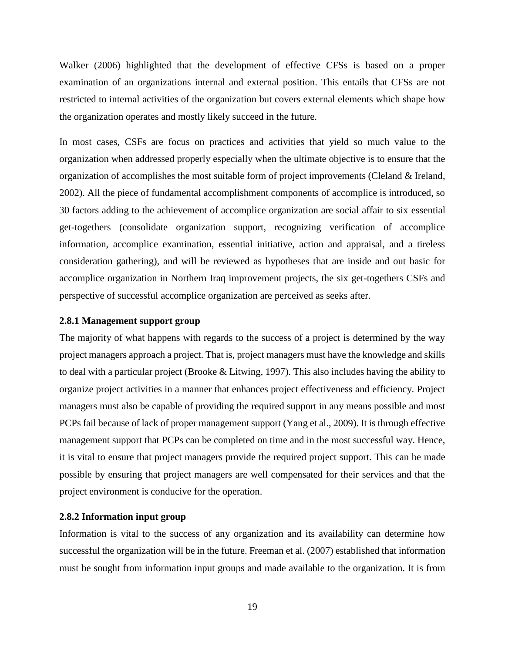Walker (2006) highlighted that the development of effective CFSs is based on a proper examination of an organizations internal and external position. This entails that CFSs are not restricted to internal activities of the organization but covers external elements which shape how the organization operates and mostly likely succeed in the future.

In most cases, CSFs are focus on practices and activities that yield so much value to the organization when addressed properly especially when the ultimate objective is to ensure that the organization of accomplishes the most suitable form of project improvements (Cleland & Ireland, 2002). All the piece of fundamental accomplishment components of accomplice is introduced, so 30 factors adding to the achievement of accomplice organization are social affair to six essential get-togethers (consolidate organization support, recognizing verification of accomplice information, accomplice examination, essential initiative, action and appraisal, and a tireless consideration gathering), and will be reviewed as hypotheses that are inside and out basic for accomplice organization in Northern Iraq improvement projects, the six get-togethers CSFs and perspective of successful accomplice organization are perceived as seeks after.

#### <span id="page-32-0"></span>**2.8.1 Management support group**

The majority of what happens with regards to the success of a project is determined by the way project managers approach a project. That is, project managers must have the knowledge and skills to deal with a particular project (Brooke & Litwing, 1997). This also includes having the ability to organize project activities in a manner that enhances project effectiveness and efficiency. Project managers must also be capable of providing the required support in any means possible and most PCPs fail because of lack of proper management support (Yang et al., 2009). It is through effective management support that PCPs can be completed on time and in the most successful way. Hence, it is vital to ensure that project managers provide the required project support. This can be made possible by ensuring that project managers are well compensated for their services and that the project environment is conducive for the operation.

#### <span id="page-32-1"></span>**2.8.2 Information input group**

Information is vital to the success of any organization and its availability can determine how successful the organization will be in the future. Freeman et al. (2007) established that information must be sought from information input groups and made available to the organization. It is from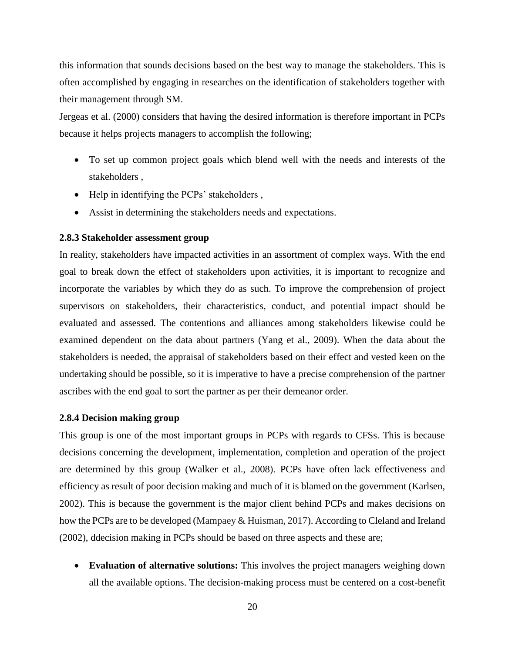this information that sounds decisions based on the best way to manage the stakeholders. This is often accomplished by engaging in researches on the identification of stakeholders together with their management through SM.

Jergeas et al. (2000) considers that having the desired information is therefore important in PCPs because it helps projects managers to accomplish the following;

- To set up common project goals which blend well with the needs and interests of the stakeholders ,
- Help in identifying the PCPs' stakeholders,
- Assist in determining the stakeholders needs and expectations.

#### <span id="page-33-0"></span>**2.8.3 Stakeholder assessment group**

In reality, stakeholders have impacted activities in an assortment of complex ways. With the end goal to break down the effect of stakeholders upon activities, it is important to recognize and incorporate the variables by which they do as such. To improve the comprehension of project supervisors on stakeholders, their characteristics, conduct, and potential impact should be evaluated and assessed. The contentions and alliances among stakeholders likewise could be examined dependent on the data about partners (Yang et al., 2009). When the data about the stakeholders is needed, the appraisal of stakeholders based on their effect and vested keen on the undertaking should be possible, so it is imperative to have a precise comprehension of the partner ascribes with the end goal to sort the partner as per their demeanor order.

#### <span id="page-33-1"></span>**2.8.4 Decision making group**

This group is one of the most important groups in PCPs with regards to CFSs. This is because decisions concerning the development, implementation, completion and operation of the project are determined by this group (Walker et al., 2008). PCPs have often lack effectiveness and efficiency as result of poor decision making and much of it is blamed on the government (Karlsen, 2002). This is because the government is the major client behind PCPs and makes decisions on how the PCPs are to be developed (Mampaey & Huisman, 2017). According to Cleland and Ireland (2002), ddecision making in PCPs should be based on three aspects and these are;

• **Evaluation of alternative solutions:** This involves the project managers weighing down all the available options. The decision-making process must be centered on a cost-benefit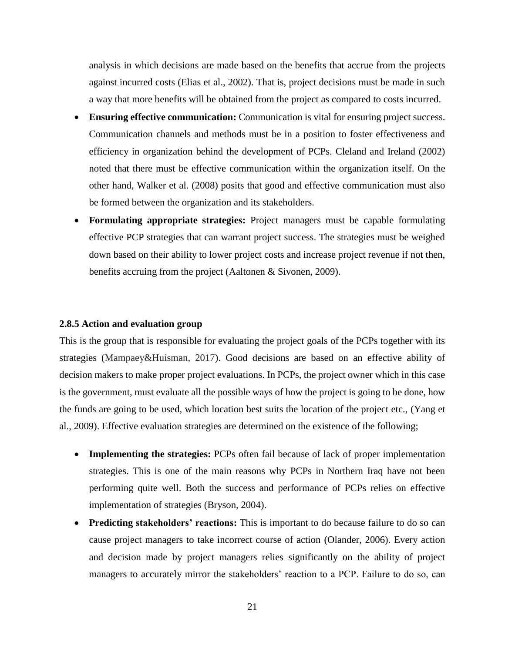analysis in which decisions are made based on the benefits that accrue from the projects against incurred costs (Elias et al., 2002). That is, project decisions must be made in such a way that more benefits will be obtained from the project as compared to costs incurred.

- **Ensuring effective communication:** Communication is vital for ensuring project success. Communication channels and methods must be in a position to foster effectiveness and efficiency in organization behind the development of PCPs. Cleland and Ireland (2002) noted that there must be effective communication within the organization itself. On the other hand, Walker et al. (2008) posits that good and effective communication must also be formed between the organization and its stakeholders.
- **Formulating appropriate strategies:** Project managers must be capable formulating effective PCP strategies that can warrant project success. The strategies must be weighed down based on their ability to lower project costs and increase project revenue if not then, benefits accruing from the project (Aaltonen & Sivonen, 2009).

#### <span id="page-34-0"></span>**2.8.5 Action and evaluation group**

This is the group that is responsible for evaluating the project goals of the PCPs together with its strategies (Mampaey&Huisman, 2017). Good decisions are based on an effective ability of decision makers to make proper project evaluations. In PCPs, the project owner which in this case is the government, must evaluate all the possible ways of how the project is going to be done, how the funds are going to be used, which location best suits the location of the project etc., (Yang et al., 2009). Effective evaluation strategies are determined on the existence of the following;

- **Implementing the strategies:** PCPs often fail because of lack of proper implementation strategies. This is one of the main reasons why PCPs in Northern Iraq have not been performing quite well. Both the success and performance of PCPs relies on effective implementation of strategies (Bryson, 2004).
- **Predicting stakeholders' reactions:** This is important to do because failure to do so can cause project managers to take incorrect course of action (Olander, 2006). Every action and decision made by project managers relies significantly on the ability of project managers to accurately mirror the stakeholders' reaction to a PCP. Failure to do so, can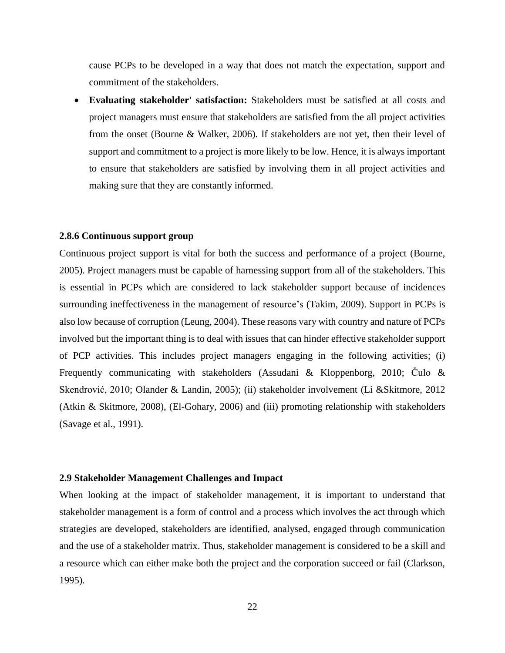cause PCPs to be developed in a way that does not match the expectation, support and commitment of the stakeholders.

• **Evaluating stakeholder' satisfaction:** Stakeholders must be satisfied at all costs and project managers must ensure that stakeholders are satisfied from the all project activities from the onset (Bourne & Walker, 2006). If stakeholders are not yet, then their level of support and commitment to a project is more likely to be low. Hence, it is always important to ensure that stakeholders are satisfied by involving them in all project activities and making sure that they are constantly informed.

#### <span id="page-35-0"></span>**2.8.6 Continuous support group**

Continuous project support is vital for both the success and performance of a project (Bourne, 2005). Project managers must be capable of harnessing support from all of the stakeholders. This is essential in PCPs which are considered to lack stakeholder support because of incidences surrounding ineffectiveness in the management of resource's (Takim, 2009). Support in PCPs is also low because of corruption (Leung, 2004). These reasons vary with country and nature of PCPs involved but the important thing is to deal with issues that can hinder effective stakeholder support of PCP activities. This includes project managers engaging in the following activities; (i) Frequently communicating with stakeholders (Assudani & Kloppenborg, 2010; Čulo & Skendrović, 2010; Olander & Landin, 2005); (ii) stakeholder involvement (Li &Skitmore, 2012 (Atkin & Skitmore, 2008), (El-Gohary, 2006) and (iii) promoting relationship with stakeholders (Savage et al., 1991).

#### <span id="page-35-1"></span>**2.9 Stakeholder Management Challenges and Impact**

When looking at the impact of stakeholder management, it is important to understand that stakeholder management is a form of control and a process which involves the act through which strategies are developed, stakeholders are identified, analysed, engaged through communication and the use of a stakeholder matrix. Thus, stakeholder management is considered to be a skill and a resource which can either make both the project and the corporation succeed or fail (Clarkson, 1995).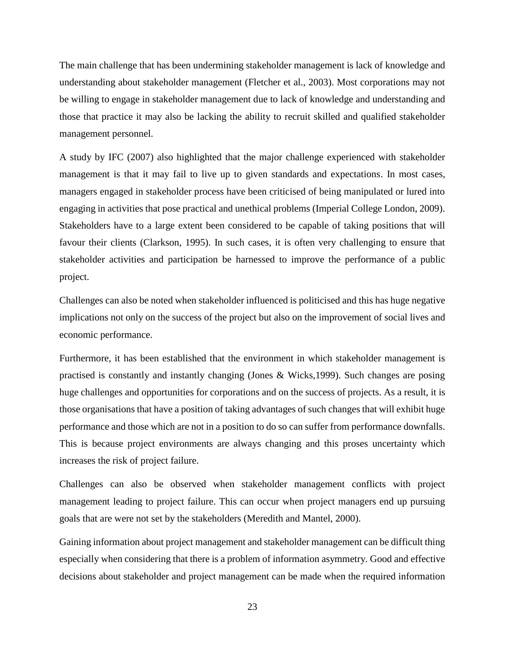The main challenge that has been undermining stakeholder management is lack of knowledge and understanding about stakeholder management (Fletcher et al., 2003). Most corporations may not be willing to engage in stakeholder management due to lack of knowledge and understanding and those that practice it may also be lacking the ability to recruit skilled and qualified stakeholder management personnel.

A study by IFC (2007) also highlighted that the major challenge experienced with stakeholder management is that it may fail to live up to given standards and expectations. In most cases, managers engaged in stakeholder process have been criticised of being manipulated or lured into engaging in activities that pose practical and unethical problems (Imperial College London, 2009). Stakeholders have to a large extent been considered to be capable of taking positions that will favour their clients (Clarkson, 1995). In such cases, it is often very challenging to ensure that stakeholder activities and participation be harnessed to improve the performance of a public project.

Challenges can also be noted when stakeholder influenced is politicised and this has huge negative implications not only on the success of the project but also on the improvement of social lives and economic performance.

Furthermore, it has been established that the environment in which stakeholder management is practised is constantly and instantly changing (Jones & Wicks,1999). Such changes are posing huge challenges and opportunities for corporations and on the success of projects. As a result, it is those organisations that have a position of taking advantages of such changes that will exhibit huge performance and those which are not in a position to do so can suffer from performance downfalls. This is because project environments are always changing and this proses uncertainty which increases the risk of project failure.

Challenges can also be observed when stakeholder management conflicts with project management leading to project failure. This can occur when project managers end up pursuing goals that are were not set by the stakeholders (Meredith and Mantel, 2000).

Gaining information about project management and stakeholder management can be difficult thing especially when considering that there is a problem of information asymmetry. Good and effective decisions about stakeholder and project management can be made when the required information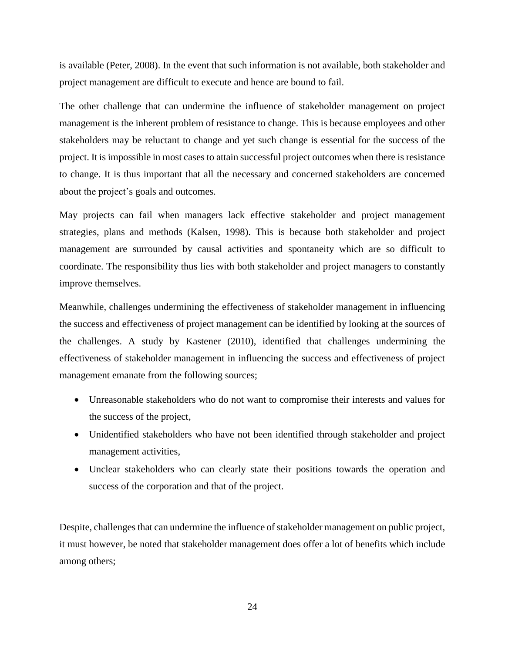is available (Peter, 2008). In the event that such information is not available, both stakeholder and project management are difficult to execute and hence are bound to fail.

The other challenge that can undermine the influence of stakeholder management on project management is the inherent problem of resistance to change. This is because employees and other stakeholders may be reluctant to change and yet such change is essential for the success of the project. It is impossible in most cases to attain successful project outcomes when there is resistance to change. It is thus important that all the necessary and concerned stakeholders are concerned about the project's goals and outcomes.

May projects can fail when managers lack effective stakeholder and project management strategies, plans and methods (Kalsen, 1998). This is because both stakeholder and project management are surrounded by causal activities and spontaneity which are so difficult to coordinate. The responsibility thus lies with both stakeholder and project managers to constantly improve themselves.

Meanwhile, challenges undermining the effectiveness of stakeholder management in influencing the success and effectiveness of project management can be identified by looking at the sources of the challenges. A study by Kastener (2010), identified that challenges undermining the effectiveness of stakeholder management in influencing the success and effectiveness of project management emanate from the following sources;

- Unreasonable stakeholders who do not want to compromise their interests and values for the success of the project,
- Unidentified stakeholders who have not been identified through stakeholder and project management activities,
- Unclear stakeholders who can clearly state their positions towards the operation and success of the corporation and that of the project.

Despite, challenges that can undermine the influence of stakeholder management on public project, it must however, be noted that stakeholder management does offer a lot of benefits which include among others;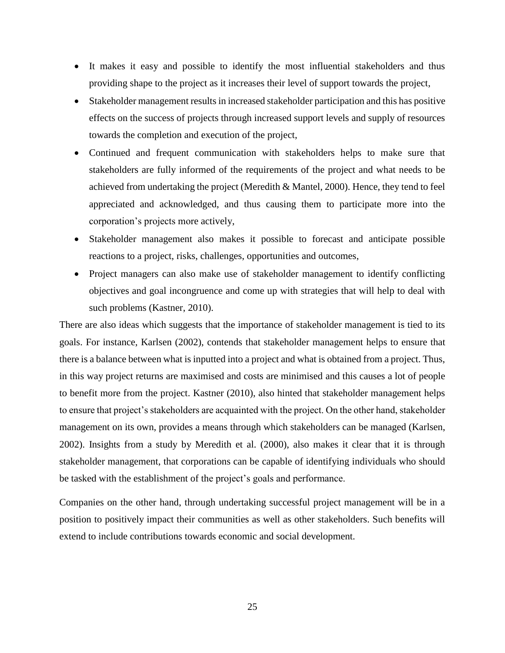- It makes it easy and possible to identify the most influential stakeholders and thus providing shape to the project as it increases their level of support towards the project,
- Stakeholder management results in increased stakeholder participation and this has positive effects on the success of projects through increased support levels and supply of resources towards the completion and execution of the project,
- Continued and frequent communication with stakeholders helps to make sure that stakeholders are fully informed of the requirements of the project and what needs to be achieved from undertaking the project (Meredith & Mantel, 2000). Hence, they tend to feel appreciated and acknowledged, and thus causing them to participate more into the corporation's projects more actively,
- Stakeholder management also makes it possible to forecast and anticipate possible reactions to a project, risks, challenges, opportunities and outcomes,
- Project managers can also make use of stakeholder management to identify conflicting objectives and goal incongruence and come up with strategies that will help to deal with such problems (Kastner, 2010).

There are also ideas which suggests that the importance of stakeholder management is tied to its goals. For instance, Karlsen (2002), contends that stakeholder management helps to ensure that there is a balance between what is inputted into a project and what is obtained from a project. Thus, in this way project returns are maximised and costs are minimised and this causes a lot of people to benefit more from the project. Kastner (2010), also hinted that stakeholder management helps to ensure that project's stakeholders are acquainted with the project. On the other hand, stakeholder management on its own, provides a means through which stakeholders can be managed (Karlsen, 2002). Insights from a study by Meredith et al. (2000), also makes it clear that it is through stakeholder management, that corporations can be capable of identifying individuals who should be tasked with the establishment of the project's goals and performance.

Companies on the other hand, through undertaking successful project management will be in a position to positively impact their communities as well as other stakeholders. Such benefits will extend to include contributions towards economic and social development.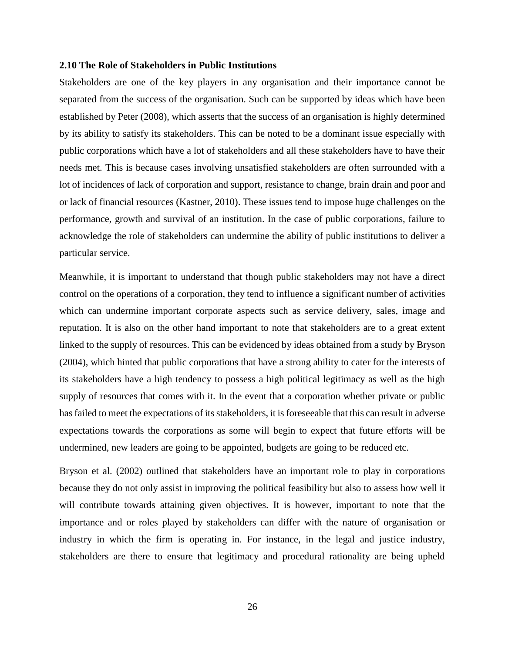#### <span id="page-39-0"></span>**2.10 The Role of Stakeholders in Public Institutions**

Stakeholders are one of the key players in any organisation and their importance cannot be separated from the success of the organisation. Such can be supported by ideas which have been established by Peter (2008), which asserts that the success of an organisation is highly determined by its ability to satisfy its stakeholders. This can be noted to be a dominant issue especially with public corporations which have a lot of stakeholders and all these stakeholders have to have their needs met. This is because cases involving unsatisfied stakeholders are often surrounded with a lot of incidences of lack of corporation and support, resistance to change, brain drain and poor and or lack of financial resources (Kastner, 2010). These issues tend to impose huge challenges on the performance, growth and survival of an institution. In the case of public corporations, failure to acknowledge the role of stakeholders can undermine the ability of public institutions to deliver a particular service.

Meanwhile, it is important to understand that though public stakeholders may not have a direct control on the operations of a corporation, they tend to influence a significant number of activities which can undermine important corporate aspects such as service delivery, sales, image and reputation. It is also on the other hand important to note that stakeholders are to a great extent linked to the supply of resources. This can be evidenced by ideas obtained from a study by Bryson (2004), which hinted that public corporations that have a strong ability to cater for the interests of its stakeholders have a high tendency to possess a high political legitimacy as well as the high supply of resources that comes with it. In the event that a corporation whether private or public has failed to meet the expectations of its stakeholders, it is foreseeable that this can result in adverse expectations towards the corporations as some will begin to expect that future efforts will be undermined, new leaders are going to be appointed, budgets are going to be reduced etc.

Bryson et al. (2002) outlined that stakeholders have an important role to play in corporations because they do not only assist in improving the political feasibility but also to assess how well it will contribute towards attaining given objectives. It is however, important to note that the importance and or roles played by stakeholders can differ with the nature of organisation or industry in which the firm is operating in. For instance, in the legal and justice industry, stakeholders are there to ensure that legitimacy and procedural rationality are being upheld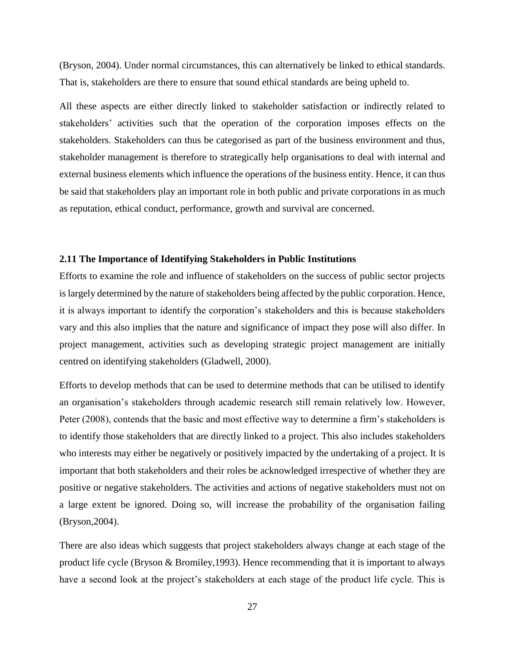(Bryson, 2004). Under normal circumstances, this can alternatively be linked to ethical standards. That is, stakeholders are there to ensure that sound ethical standards are being upheld to.

All these aspects are either directly linked to stakeholder satisfaction or indirectly related to stakeholders' activities such that the operation of the corporation imposes effects on the stakeholders. Stakeholders can thus be categorised as part of the business environment and thus, stakeholder management is therefore to strategically help organisations to deal with internal and external business elements which influence the operations of the business entity. Hence, it can thus be said that stakeholders play an important role in both public and private corporations in as much as reputation, ethical conduct, performance, growth and survival are concerned.

#### <span id="page-40-0"></span>**2.11 The Importance of Identifying Stakeholders in Public Institutions**

Efforts to examine the role and influence of stakeholders on the success of public sector projects is largely determined by the nature of stakeholders being affected by the public corporation. Hence, it is always important to identify the corporation's stakeholders and this is because stakeholders vary and this also implies that the nature and significance of impact they pose will also differ. In project management, activities such as developing strategic project management are initially centred on identifying stakeholders (Gladwell, 2000).

Efforts to develop methods that can be used to determine methods that can be utilised to identify an organisation's stakeholders through academic research still remain relatively low. However, Peter (2008), contends that the basic and most effective way to determine a firm's stakeholders is to identify those stakeholders that are directly linked to a project. This also includes stakeholders who interests may either be negatively or positively impacted by the undertaking of a project. It is important that both stakeholders and their roles be acknowledged irrespective of whether they are positive or negative stakeholders. The activities and actions of negative stakeholders must not on a large extent be ignored. Doing so, will increase the probability of the organisation failing (Bryson,2004).

There are also ideas which suggests that project stakeholders always change at each stage of the product life cycle (Bryson & Bromiley,1993). Hence recommending that it is important to always have a second look at the project's stakeholders at each stage of the product life cycle. This is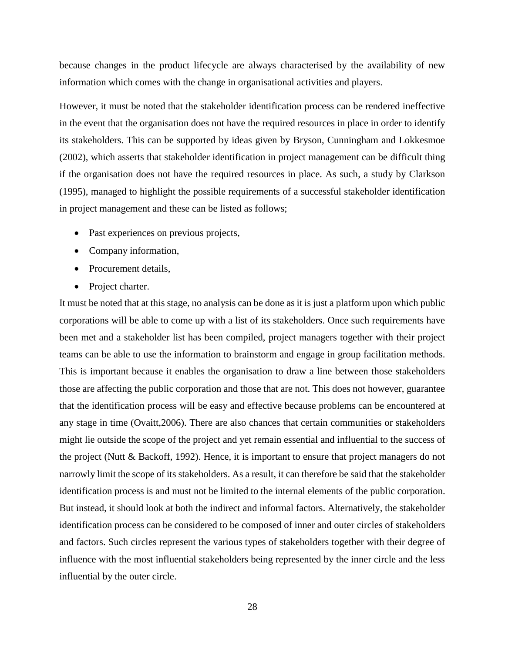because changes in the product lifecycle are always characterised by the availability of new information which comes with the change in organisational activities and players.

However, it must be noted that the stakeholder identification process can be rendered ineffective in the event that the organisation does not have the required resources in place in order to identify its stakeholders. This can be supported by ideas given by Bryson, Cunningham and Lokkesmoe (2002), which asserts that stakeholder identification in project management can be difficult thing if the organisation does not have the required resources in place. As such, a study by Clarkson (1995), managed to highlight the possible requirements of a successful stakeholder identification in project management and these can be listed as follows;

- Past experiences on previous projects,
- Company information,
- Procurement details,
- Project charter.

It must be noted that at this stage, no analysis can be done as it is just a platform upon which public corporations will be able to come up with a list of its stakeholders. Once such requirements have been met and a stakeholder list has been compiled, project managers together with their project teams can be able to use the information to brainstorm and engage in group facilitation methods. This is important because it enables the organisation to draw a line between those stakeholders those are affecting the public corporation and those that are not. This does not however, guarantee that the identification process will be easy and effective because problems can be encountered at any stage in time (Ovaitt,2006). There are also chances that certain communities or stakeholders might lie outside the scope of the project and yet remain essential and influential to the success of the project (Nutt & Backoff, 1992). Hence, it is important to ensure that project managers do not narrowly limit the scope of its stakeholders. As a result, it can therefore be said that the stakeholder identification process is and must not be limited to the internal elements of the public corporation. But instead, it should look at both the indirect and informal factors. Alternatively, the stakeholder identification process can be considered to be composed of inner and outer circles of stakeholders and factors. Such circles represent the various types of stakeholders together with their degree of influence with the most influential stakeholders being represented by the inner circle and the less influential by the outer circle.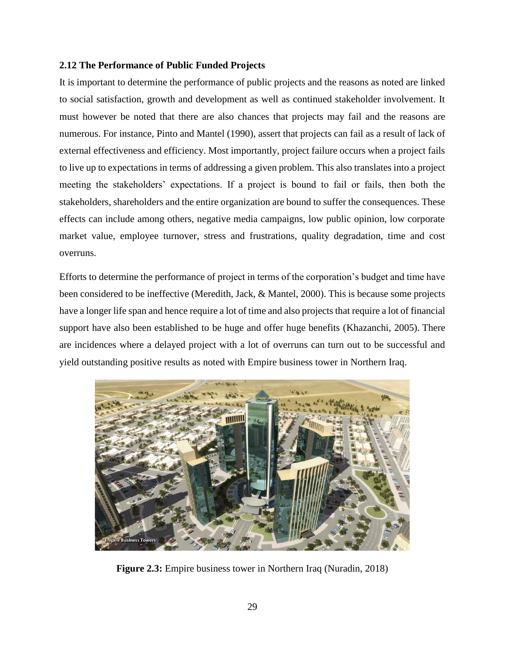### <span id="page-42-0"></span>**2.12 The Performance of Public Funded Projects**

It is important to determine the performance of public projects and the reasons as noted are linked to social satisfaction, growth and development as well as continued stakeholder involvement. It must however be noted that there are also chances that projects may fail and the reasons are numerous. For instance, Pinto and Mantel (1990), assert that projects can fail as a result of lack of external effectiveness and efficiency. Most importantly, project failure occurs when a project fails to live up to expectations in terms of addressing a given problem. This also translates into a project meeting the stakeholders' expectations. If a project is bound to fail or fails, then both the stakeholders, shareholders and the entire organization are bound to suffer the consequences. These effects can include among others, negative media campaigns, low public opinion, low corporate market value, employee turnover, stress and frustrations, quality degradation, time and cost overruns.

Efforts to determine the performance of project in terms of the corporation's budget and time have been considered to be ineffective (Meredith, Jack, & Mantel, 2000). This is because some projects have a longer life span and hence require a lot of time and also projects that require a lot of financial support have also been established to be huge and offer huge benefits (Khazanchi, 2005). There are incidences where a delayed project with a lot of overruns can turn out to be successful and yield outstanding positive results as noted with Empire business tower in Northern Iraq.



**Figure 2.3:** Empire business tower in Northern Iraq (Nuradin, 2018)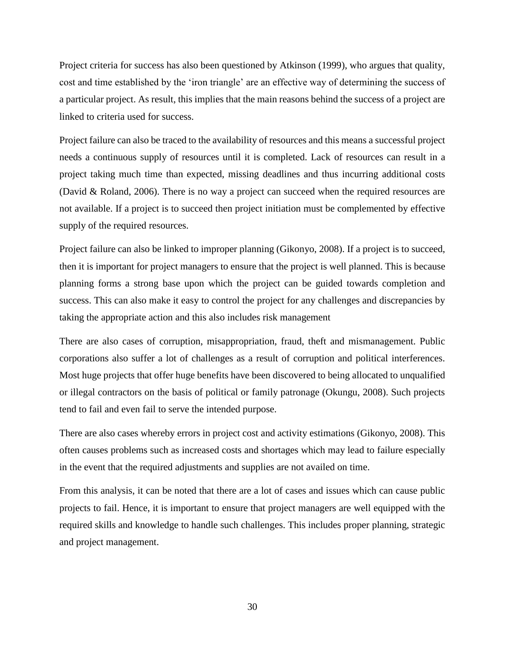Project criteria for success has also been questioned by Atkinson (1999), who argues that quality, cost and time established by the 'iron triangle' are an effective way of determining the success of a particular project. As result, this implies that the main reasons behind the success of a project are linked to criteria used for success.

Project failure can also be traced to the availability of resources and this means a successful project needs a continuous supply of resources until it is completed. Lack of resources can result in a project taking much time than expected, missing deadlines and thus incurring additional costs (David & Roland, 2006). There is no way a project can succeed when the required resources are not available. If a project is to succeed then project initiation must be complemented by effective supply of the required resources.

Project failure can also be linked to improper planning (Gikonyo, 2008). If a project is to succeed, then it is important for project managers to ensure that the project is well planned. This is because planning forms a strong base upon which the project can be guided towards completion and success. This can also make it easy to control the project for any challenges and discrepancies by taking the appropriate action and this also includes risk management

There are also cases of corruption, misappropriation, fraud, theft and mismanagement. Public corporations also suffer a lot of challenges as a result of corruption and political interferences. Most huge projects that offer huge benefits have been discovered to being allocated to unqualified or illegal contractors on the basis of political or family patronage (Okungu, 2008). Such projects tend to fail and even fail to serve the intended purpose.

There are also cases whereby errors in project cost and activity estimations (Gikonyo, 2008). This often causes problems such as increased costs and shortages which may lead to failure especially in the event that the required adjustments and supplies are not availed on time.

From this analysis, it can be noted that there are a lot of cases and issues which can cause public projects to fail. Hence, it is important to ensure that project managers are well equipped with the required skills and knowledge to handle such challenges. This includes proper planning, strategic and project management.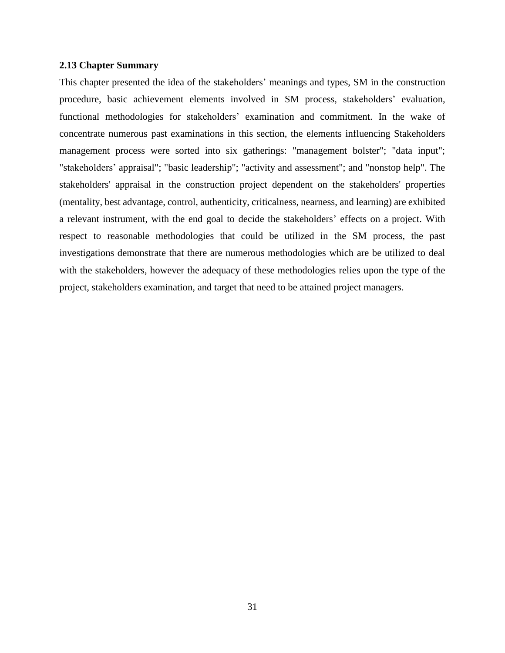#### <span id="page-44-0"></span>**2.13 Chapter Summary**

This chapter presented the idea of the stakeholders' meanings and types, SM in the construction procedure, basic achievement elements involved in SM process, stakeholders' evaluation, functional methodologies for stakeholders' examination and commitment. In the wake of concentrate numerous past examinations in this section, the elements influencing Stakeholders management process were sorted into six gatherings: "management bolster"; "data input"; "stakeholders' appraisal"; "basic leadership"; "activity and assessment"; and "nonstop help". The stakeholders' appraisal in the construction project dependent on the stakeholders' properties (mentality, best advantage, control, authenticity, criticalness, nearness, and learning) are exhibited a relevant instrument, with the end goal to decide the stakeholders' effects on a project. With respect to reasonable methodologies that could be utilized in the SM process, the past investigations demonstrate that there are numerous methodologies which are be utilized to deal with the stakeholders, however the adequacy of these methodologies relies upon the type of the project, stakeholders examination, and target that need to be attained project managers.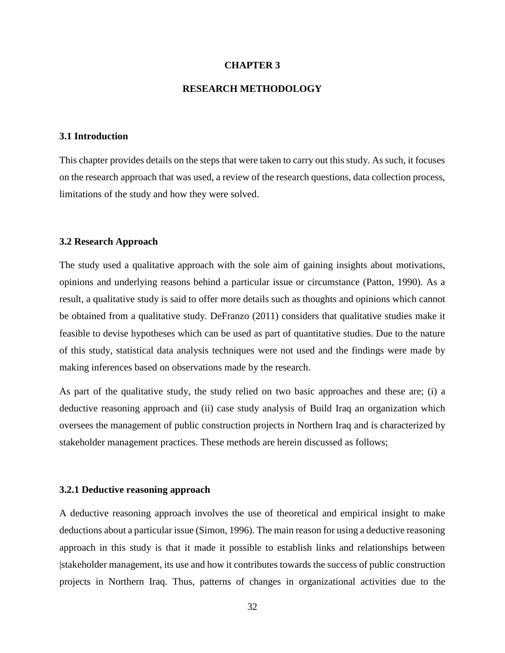#### **CHAPTER 3**

#### **RESEARCH METHODOLOGY**

#### <span id="page-45-1"></span><span id="page-45-0"></span>**3.1 Introduction**

This chapter provides details on the steps that were taken to carry out this study. As such, it focuses on the research approach that was used, a review of the research questions, data collection process, limitations of the study and how they were solved.

#### <span id="page-45-2"></span>**3.2 Research Approach**

The study used a qualitative approach with the sole aim of gaining insights about motivations, opinions and underlying reasons behind a particular issue or circumstance (Patton, 1990). As a result, a qualitative study is said to offer more details such as thoughts and opinions which cannot be obtained from a qualitative study. DeFranzo (2011) considers that qualitative studies make it feasible to devise hypotheses which can be used as part of quantitative studies. Due to the nature of this study, statistical data analysis techniques were not used and the findings were made by making inferences based on observations made by the research.

As part of the qualitative study, the study relied on two basic approaches and these are; (i) a deductive reasoning approach and (ii) case study analysis of Build Iraq an organization which oversees the management of public construction projects in Northern Iraq and is characterized by stakeholder management practices. These methods are herein discussed as follows;

#### <span id="page-45-3"></span>**3.2.1 Deductive reasoning approach**

A deductive reasoning approach involves the use of theoretical and empirical insight to make deductions about a particular issue (Simon, 1996). The main reason for using a deductive reasoning approach in this study is that it made it possible to establish links and relationships between |stakeholder management, its use and how it contributes towards the success of public construction projects in Northern Iraq. Thus, patterns of changes in organizational activities due to the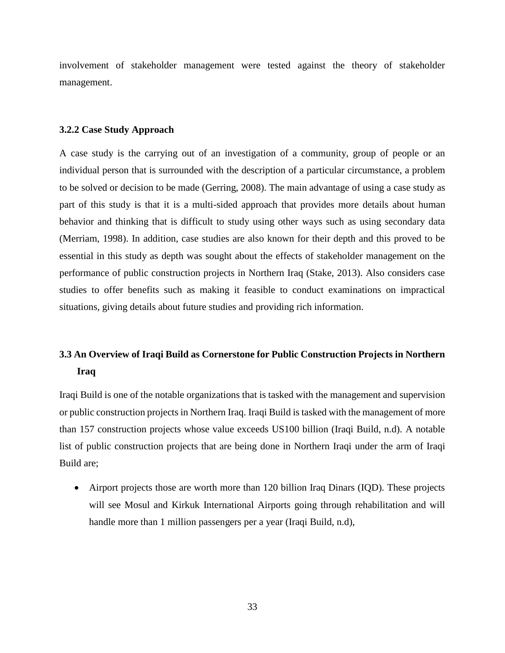involvement of stakeholder management were tested against the theory of stakeholder management.

#### <span id="page-46-0"></span>**3.2.2 Case Study Approach**

A case study is the carrying out of an investigation of a community, group of people or an individual person that is surrounded with the description of a particular circumstance, a problem to be solved or decision to be made (Gerring, 2008). The main advantage of using a case study as part of this study is that it is a multi-sided approach that provides more details about human behavior and thinking that is difficult to study using other ways such as using secondary data (Merriam, 1998). In addition, case studies are also known for their depth and this proved to be essential in this study as depth was sought about the effects of stakeholder management on the performance of public construction projects in Northern Iraq (Stake, 2013). Also considers case studies to offer benefits such as making it feasible to conduct examinations on impractical situations, giving details about future studies and providing rich information.

## <span id="page-46-1"></span>**3.3 An Overview of Iraqi Build as Cornerstone for Public Construction Projects in Northern Iraq**

Iraqi Build is one of the notable organizations that is tasked with the management and supervision or public construction projects in Northern Iraq. Iraqi Build is tasked with the management of more than 157 construction projects whose value exceeds US100 billion (Iraqi Build, n.d). A notable list of public construction projects that are being done in Northern Iraqi under the arm of Iraqi Build are;

• Airport projects those are worth more than 120 billion Iraq Dinars (IQD). These projects will see Mosul and Kirkuk International Airports going through rehabilitation and will handle more than 1 million passengers per a year (Iraqi Build, n.d),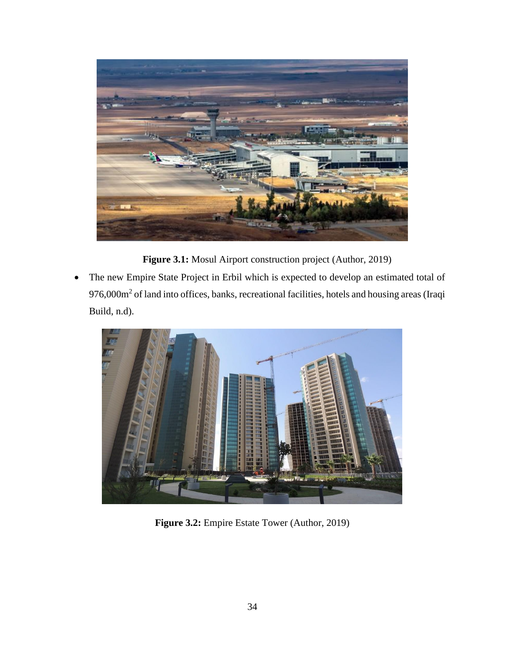

**Figure 3.1:** Mosul Airport construction project (Author, 2019)

• The new Empire State Project in Erbil which is expected to develop an estimated total of 976,000m<sup>2</sup> of land into offices, banks, recreational facilities, hotels and housing areas (Iraqi Build, n.d).



**Figure 3.2:** Empire Estate Tower (Author, 2019)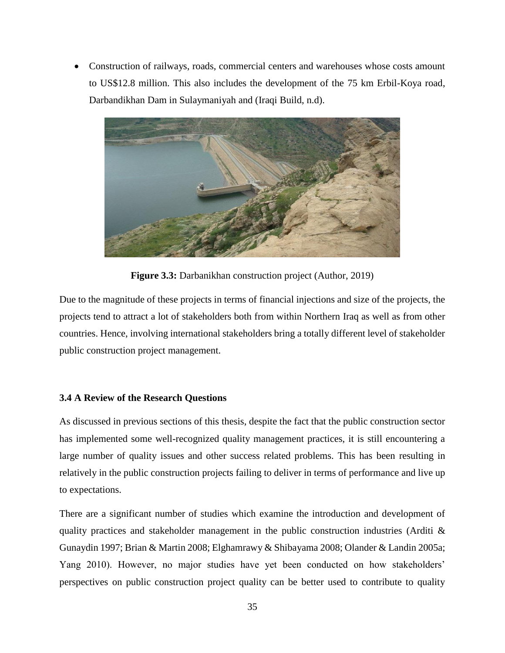• Construction of railways, roads, commercial centers and warehouses whose costs amount to US\$12.8 million. This also includes the development of the 75 km Erbil-Koya road, Darbandikhan Dam in Sulaymaniyah and (Iraqi Build, n.d).



**Figure 3.3:** Darbanikhan construction project (Author, 2019)

Due to the magnitude of these projects in terms of financial injections and size of the projects, the projects tend to attract a lot of stakeholders both from within Northern Iraq as well as from other countries. Hence, involving international stakeholders bring a totally different level of stakeholder public construction project management.

#### <span id="page-48-0"></span>**3.4 A Review of the Research Questions**

As discussed in previous sections of this thesis, despite the fact that the public construction sector has implemented some well-recognized quality management practices, it is still encountering a large number of quality issues and other success related problems. This has been resulting in relatively in the public construction projects failing to deliver in terms of performance and live up to expectations.

There are a significant number of studies which examine the introduction and development of quality practices and stakeholder management in the public construction industries (Arditi  $\&$ Gunaydin 1997; Brian & Martin 2008; Elghamrawy & Shibayama 2008; Olander & Landin 2005a; Yang 2010). However, no major studies have yet been conducted on how stakeholders' perspectives on public construction project quality can be better used to contribute to quality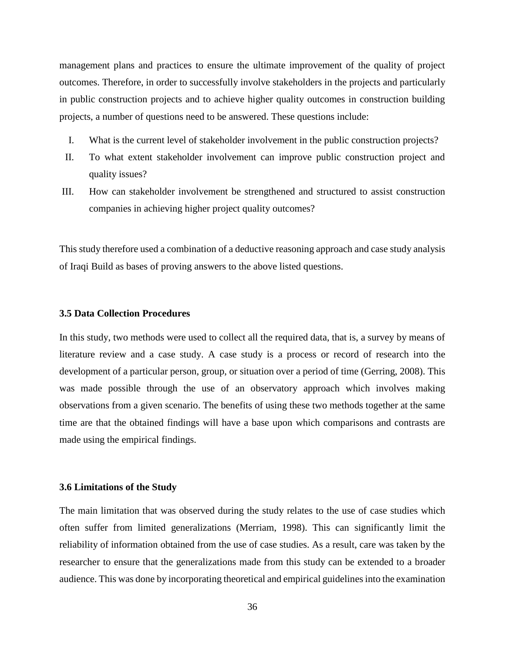management plans and practices to ensure the ultimate improvement of the quality of project outcomes. Therefore, in order to successfully involve stakeholders in the projects and particularly in public construction projects and to achieve higher quality outcomes in construction building projects, a number of questions need to be answered. These questions include:

- I. What is the current level of stakeholder involvement in the public construction projects?
- II. To what extent stakeholder involvement can improve public construction project and quality issues?
- III. How can stakeholder involvement be strengthened and structured to assist construction companies in achieving higher project quality outcomes?

This study therefore used a combination of a deductive reasoning approach and case study analysis of Iraqi Build as bases of proving answers to the above listed questions.

#### <span id="page-49-0"></span>**3.5 Data Collection Procedures**

In this study, two methods were used to collect all the required data, that is, a survey by means of literature review and a case study. A case study is a process or record of research into the development of a particular person, group, or situation over a period of time (Gerring, 2008). This was made possible through the use of an observatory approach which involves making observations from a given scenario. The benefits of using these two methods together at the same time are that the obtained findings will have a base upon which comparisons and contrasts are made using the empirical findings.

#### <span id="page-49-1"></span>**3.6 Limitations of the Study**

The main limitation that was observed during the study relates to the use of case studies which often suffer from limited generalizations (Merriam, 1998). This can significantly limit the reliability of information obtained from the use of case studies. As a result, care was taken by the researcher to ensure that the generalizations made from this study can be extended to a broader audience. This was done by incorporating theoretical and empirical guidelines into the examination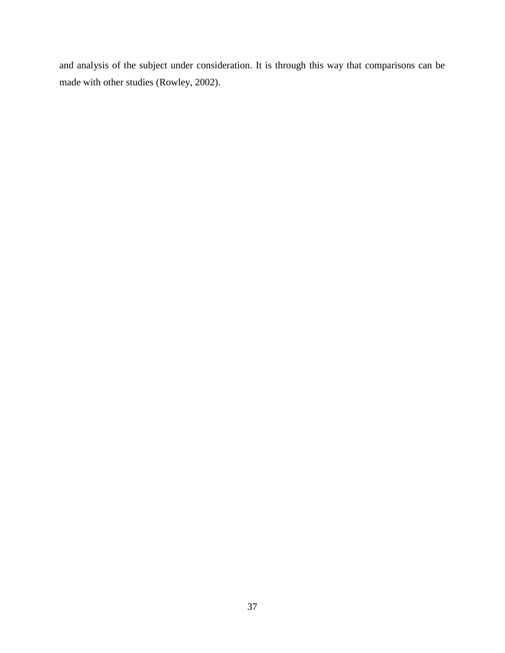and analysis of the subject under consideration. It is through this way that comparisons can be made with other studies (Rowley, 2002).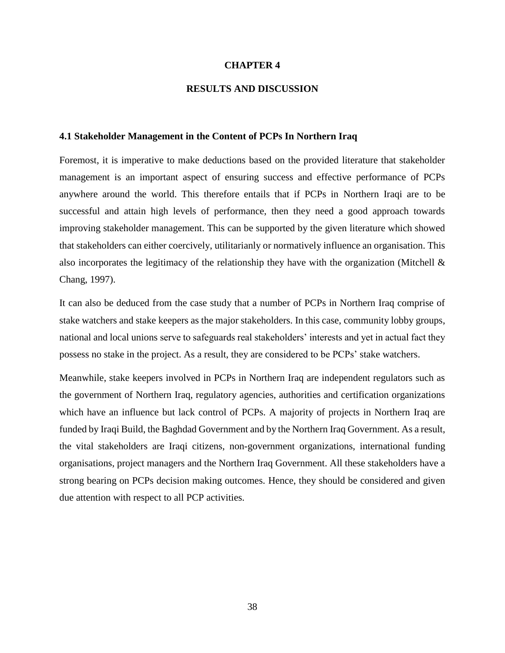#### **CHAPTER 4**

#### **RESULTS AND DISCUSSION**

#### <span id="page-51-1"></span><span id="page-51-0"></span>**4.1 Stakeholder Management in the Content of PCPs In Northern Iraq**

Foremost, it is imperative to make deductions based on the provided literature that stakeholder management is an important aspect of ensuring success and effective performance of PCPs anywhere around the world. This therefore entails that if PCPs in Northern Iraqi are to be successful and attain high levels of performance, then they need a good approach towards improving stakeholder management. This can be supported by the given literature which showed that stakeholders can either coercively, utilitarianly or normatively influence an organisation. This also incorporates the legitimacy of the relationship they have with the organization (Mitchell & Chang, 1997).

It can also be deduced from the case study that a number of PCPs in Northern Iraq comprise of stake watchers and stake keepers as the major stakeholders. In this case, community lobby groups, national and local unions serve to safeguards real stakeholders' interests and yet in actual fact they possess no stake in the project. As a result, they are considered to be PCPs' stake watchers.

Meanwhile, stake keepers involved in PCPs in Northern Iraq are independent regulators such as the government of Northern Iraq, regulatory agencies, authorities and certification organizations which have an influence but lack control of PCPs. A majority of projects in Northern Iraq are funded by Iraqi Build, the Baghdad Government and by the Northern Iraq Government. As a result, the vital stakeholders are Iraqi citizens, non-government organizations, international funding organisations, project managers and the Northern Iraq Government. All these stakeholders have a strong bearing on PCPs decision making outcomes. Hence, they should be considered and given due attention with respect to all PCP activities.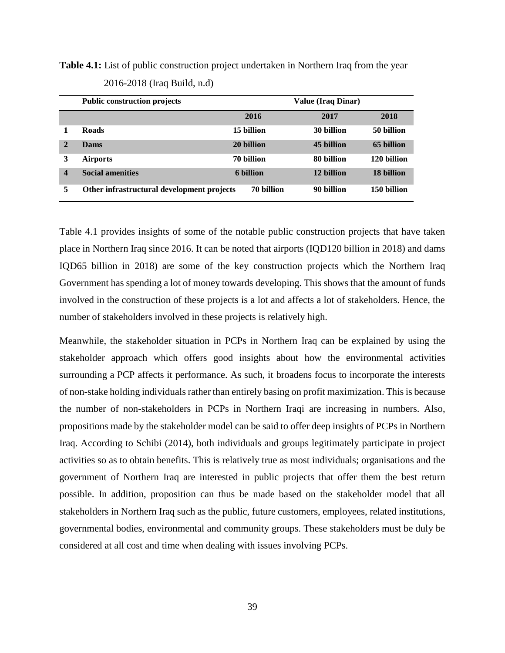**Table 4.1:** List of public construction project undertaken in Northern Iraq from the year 2016-2018 (Iraq Build, n.d)

|                  | <b>Public construction projects</b>        |            | <b>Value (Iraq Dinar)</b> |             |
|------------------|--------------------------------------------|------------|---------------------------|-------------|
|                  |                                            | 2016       | 2017                      | 2018        |
|                  | <b>Roads</b>                               | 15 billion | 30 billion                | 50 billion  |
| $\mathbf{2}$     | Dams                                       | 20 billion | 45 billion                | 65 billion  |
| 3                | <b>Airports</b>                            | 70 billion | 80 billion                | 120 billion |
| $\boldsymbol{4}$ | <b>Social amenities</b>                    | 6 billion  | 12 billion                | 18 billion  |
| 5                | Other infrastructural development projects | 70 billion | 90 billion                | 150 billion |

Table 4.1 provides insights of some of the notable public construction projects that have taken place in Northern Iraq since 2016. It can be noted that airports (IQD120 billion in 2018) and dams IQD65 billion in 2018) are some of the key construction projects which the Northern Iraq Government has spending a lot of money towards developing. This shows that the amount of funds involved in the construction of these projects is a lot and affects a lot of stakeholders. Hence, the number of stakeholders involved in these projects is relatively high.

Meanwhile, the stakeholder situation in PCPs in Northern Iraq can be explained by using the stakeholder approach which offers good insights about how the environmental activities surrounding a PCP affects it performance. As such, it broadens focus to incorporate the interests of non-stake holding individuals rather than entirely basing on profit maximization. This is because the number of non-stakeholders in PCPs in Northern Iraqi are increasing in numbers. Also, propositions made by the stakeholder model can be said to offer deep insights of PCPs in Northern Iraq. According to Schibi (2014), both individuals and groups legitimately participate in project activities so as to obtain benefits. This is relatively true as most individuals; organisations and the government of Northern Iraq are interested in public projects that offer them the best return possible. In addition, proposition can thus be made based on the stakeholder model that all stakeholders in Northern Iraq such as the public, future customers, employees, related institutions, governmental bodies, environmental and community groups. These stakeholders must be duly be considered at all cost and time when dealing with issues involving PCPs.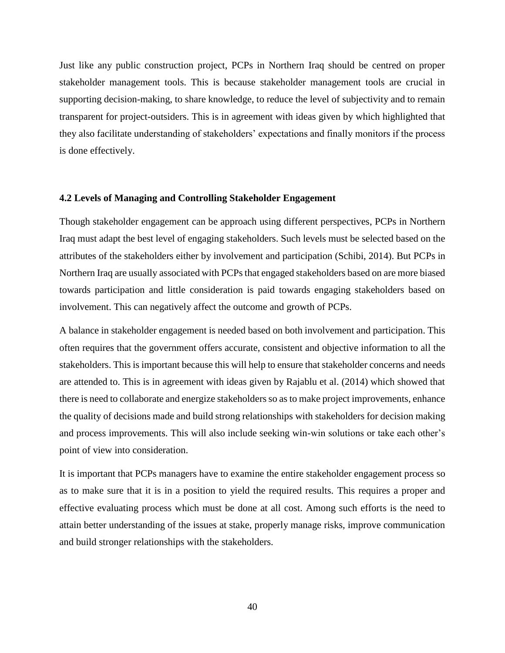Just like any public construction project, PCPs in Northern Iraq should be centred on proper stakeholder management tools. This is because stakeholder management tools are crucial in supporting decision-making, to share knowledge, to reduce the level of subjectivity and to remain transparent for project-outsiders. This is in agreement with ideas given by which highlighted that they also facilitate understanding of stakeholders' expectations and finally monitors if the process is done effectively.

#### <span id="page-53-0"></span>**4.2 Levels of Managing and Controlling Stakeholder Engagement**

Though stakeholder engagement can be approach using different perspectives, PCPs in Northern Iraq must adapt the best level of engaging stakeholders. Such levels must be selected based on the attributes of the stakeholders either by involvement and participation (Schibi, 2014). But PCPs in Northern Iraq are usually associated with PCPs that engaged stakeholders based on are more biased towards participation and little consideration is paid towards engaging stakeholders based on involvement. This can negatively affect the outcome and growth of PCPs.

A balance in stakeholder engagement is needed based on both involvement and participation. This often requires that the government offers accurate, consistent and objective information to all the stakeholders. This is important because this will help to ensure that stakeholder concerns and needs are attended to. This is in agreement with ideas given by Rajablu et al. (2014) which showed that there is need to collaborate and energize stakeholders so as to make project improvements, enhance the quality of decisions made and build strong relationships with stakeholders for decision making and process improvements. This will also include seeking win-win solutions or take each other's point of view into consideration.

It is important that PCPs managers have to examine the entire stakeholder engagement process so as to make sure that it is in a position to yield the required results. This requires a proper and effective evaluating process which must be done at all cost. Among such efforts is the need to attain better understanding of the issues at stake, properly manage risks, improve communication and build stronger relationships with the stakeholders.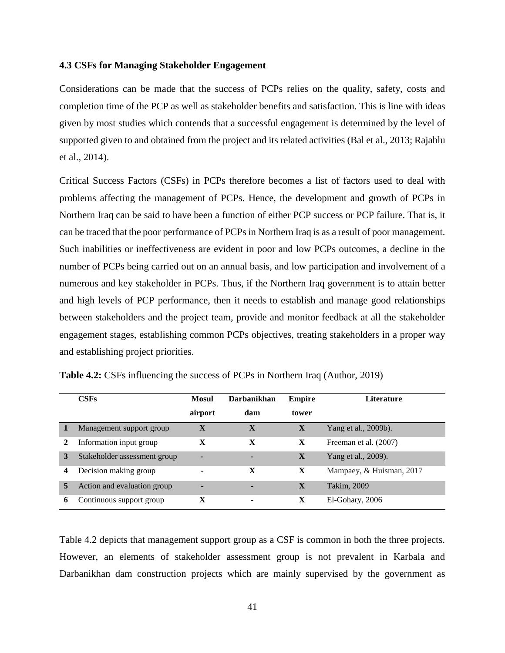#### <span id="page-54-0"></span>**4.3 CSFs for Managing Stakeholder Engagement**

Considerations can be made that the success of PCPs relies on the quality, safety, costs and completion time of the PCP as well as stakeholder benefits and satisfaction. This is line with ideas given by most studies which contends that a successful engagement is determined by the level of supported given to and obtained from the project and its related activities (Bal et al., 2013; Rajablu et al., 2014).

Critical Success Factors (CSFs) in PCPs therefore becomes a list of factors used to deal with problems affecting the management of PCPs. Hence, the development and growth of PCPs in Northern Iraq can be said to have been a function of either PCP success or PCP failure. That is, it can be traced that the poor performance of PCPs in Northern Iraq is as a result of poor management. Such inabilities or ineffectiveness are evident in poor and low PCPs outcomes, a decline in the number of PCPs being carried out on an annual basis, and low participation and involvement of a numerous and key stakeholder in PCPs. Thus, if the Northern Iraq government is to attain better and high levels of PCP performance, then it needs to establish and manage good relationships between stakeholders and the project team, provide and monitor feedback at all the stakeholder engagement stages, establishing common PCPs objectives, treating stakeholders in a proper way and establishing project priorities.

|   | CSFs                         | Mosul   | <b>Darbanikhan</b>       | <b>Empire</b> | Literature               |
|---|------------------------------|---------|--------------------------|---------------|--------------------------|
|   |                              | airport | dam                      | tower         |                          |
|   | Management support group     | X       | X                        | X             | Yang et al., 2009b).     |
|   | Information input group      | X       | X                        | X             | Freeman et al. (2007)    |
| 3 | Stakeholder assessment group |         |                          | X             | Yang et al., 2009).      |
| 4 | Decision making group        |         | X                        | X             | Mampaey, & Huisman, 2017 |
| 5 | Action and evaluation group  |         | ۰                        | $\mathbf{X}$  | Takim, 2009              |
| 6 | Continuous support group     | X       | $\overline{\phantom{0}}$ | X             | El-Gohary, 2006          |

**Table 4.2:** CSFs influencing the success of PCPs in Northern Iraq (Author, 2019)

Table 4.2 depicts that management support group as a CSF is common in both the three projects. However, an elements of stakeholder assessment group is not prevalent in Karbala and Darbanikhan dam construction projects which are mainly supervised by the government as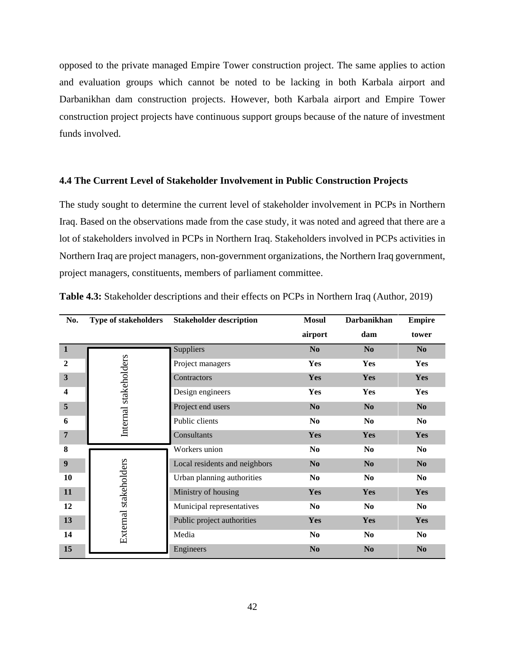opposed to the private managed Empire Tower construction project. The same applies to action and evaluation groups which cannot be noted to be lacking in both Karbala airport and Darbanikhan dam construction projects. However, both Karbala airport and Empire Tower construction project projects have continuous support groups because of the nature of investment funds involved.

#### <span id="page-55-0"></span>**4.4 The Current Level of Stakeholder Involvement in Public Construction Projects**

The study sought to determine the current level of stakeholder involvement in PCPs in Northern Iraq. Based on the observations made from the case study, it was noted and agreed that there are a lot of stakeholders involved in PCPs in Northern Iraq. Stakeholders involved in PCPs activities in Northern Iraq are project managers, non-government organizations, the Northern Iraq government, project managers, constituents, members of parliament committee.

| No.              | <b>Type of stakeholders</b> | <b>Stakeholder description</b> | <b>Mosul</b>   | <b>Darbanikhan</b> | <b>Empire</b>  |
|------------------|-----------------------------|--------------------------------|----------------|--------------------|----------------|
|                  |                             |                                | airport        | dam                | tower          |
| $\mathbf{1}$     |                             | Suppliers                      | N <sub>0</sub> | N <sub>0</sub>     | N <sub>0</sub> |
| $\overline{2}$   |                             | Project managers               | Yes            | <b>Yes</b>         | Yes            |
| $\mathbf{3}$     | Internal stakeholders       | Contractors                    | Yes            | Yes                | Yes            |
| 4                |                             | Design engineers               | Yes            | <b>Yes</b>         | Yes            |
| $\overline{5}$   |                             | Project end users              | N <sub>0</sub> | N <sub>0</sub>     | No             |
| 6                |                             | Public clients                 | N <sub>0</sub> | N <sub>0</sub>     | N <sub>0</sub> |
| 7                |                             | Consultants                    | Yes            | Yes                | <b>Yes</b>     |
| 8                |                             | Workers union                  | N <sub>0</sub> | N <sub>0</sub>     | N <sub>0</sub> |
| $\boldsymbol{9}$ |                             | Local residents and neighbors  | N <sub>0</sub> | N <sub>0</sub>     | N <sub>0</sub> |
| 10               |                             | Urban planning authorities     | N <sub>0</sub> | N <sub>0</sub>     | N <sub>0</sub> |
| 11               |                             | Ministry of housing            | Yes            | Yes                | Yes            |
| 12               |                             | Municipal representatives      | N <sub>0</sub> | N <sub>0</sub>     | N <sub>0</sub> |
| 13               | External stakeholders       | Public project authorities     | Yes            | Yes                | Yes            |
| 14               |                             | Media                          | N <sub>0</sub> | N <sub>0</sub>     | N <sub>0</sub> |
| 15               |                             | Engineers                      | N <sub>0</sub> | N <sub>0</sub>     | N <sub>0</sub> |

**Table 4.3:** Stakeholder descriptions and their effects on PCPs in Northern Iraq (Author, 2019)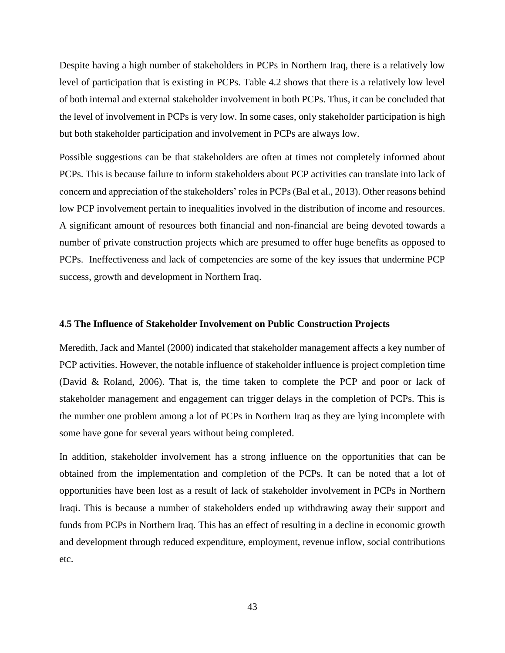Despite having a high number of stakeholders in PCPs in Northern Iraq, there is a relatively low level of participation that is existing in PCPs. Table 4.2 shows that there is a relatively low level of both internal and external stakeholder involvement in both PCPs. Thus, it can be concluded that the level of involvement in PCPs is very low. In some cases, only stakeholder participation is high but both stakeholder participation and involvement in PCPs are always low.

Possible suggestions can be that stakeholders are often at times not completely informed about PCPs. This is because failure to inform stakeholders about PCP activities can translate into lack of concern and appreciation of the stakeholders' roles in PCPs (Bal et al., 2013). Other reasons behind low PCP involvement pertain to inequalities involved in the distribution of income and resources. A significant amount of resources both financial and non-financial are being devoted towards a number of private construction projects which are presumed to offer huge benefits as opposed to PCPs. Ineffectiveness and lack of competencies are some of the key issues that undermine PCP success, growth and development in Northern Iraq.

#### <span id="page-56-0"></span>**4.5 The Influence of Stakeholder Involvement on Public Construction Projects**

Meredith, Jack and Mantel (2000) indicated that stakeholder management affects a key number of PCP activities. However, the notable influence of stakeholder influence is project completion time (David & Roland, 2006). That is, the time taken to complete the PCP and poor or lack of stakeholder management and engagement can trigger delays in the completion of PCPs. This is the number one problem among a lot of PCPs in Northern Iraq as they are lying incomplete with some have gone for several years without being completed.

In addition, stakeholder involvement has a strong influence on the opportunities that can be obtained from the implementation and completion of the PCPs. It can be noted that a lot of opportunities have been lost as a result of lack of stakeholder involvement in PCPs in Northern Iraqi. This is because a number of stakeholders ended up withdrawing away their support and funds from PCPs in Northern Iraq. This has an effect of resulting in a decline in economic growth and development through reduced expenditure, employment, revenue inflow, social contributions etc.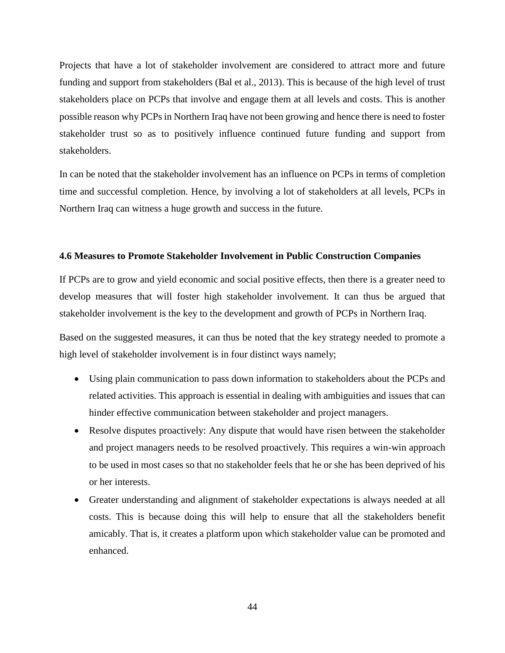Projects that have a lot of stakeholder involvement are considered to attract more and future funding and support from stakeholders (Bal et al., 2013). This is because of the high level of trust stakeholders place on PCPs that involve and engage them at all levels and costs. This is another possible reason why PCPs in Northern Iraq have not been growing and hence there is need to foster stakeholder trust so as to positively influence continued future funding and support from stakeholders.

In can be noted that the stakeholder involvement has an influence on PCPs in terms of completion time and successful completion. Hence, by involving a lot of stakeholders at all levels, PCPs in Northern Iraq can witness a huge growth and success in the future.

#### <span id="page-57-0"></span>**4.6 Measures to Promote Stakeholder Involvement in Public Construction Companies**

If PCPs are to grow and yield economic and social positive effects, then there is a greater need to develop measures that will foster high stakeholder involvement. It can thus be argued that stakeholder involvement is the key to the development and growth of PCPs in Northern Iraq.

Based on the suggested measures, it can thus be noted that the key strategy needed to promote a high level of stakeholder involvement is in four distinct ways namely;

- Using plain communication to pass down information to stakeholders about the PCPs and related activities. This approach is essential in dealing with ambiguities and issues that can hinder effective communication between stakeholder and project managers.
- Resolve disputes proactively: Any dispute that would have risen between the stakeholder and project managers needs to be resolved proactively. This requires a win-win approach to be used in most cases so that no stakeholder feels that he or she has been deprived of his or her interests.
- Greater understanding and alignment of stakeholder expectations is always needed at all costs. This is because doing this will help to ensure that all the stakeholders benefit amicably. That is, it creates a platform upon which stakeholder value can be promoted and enhanced.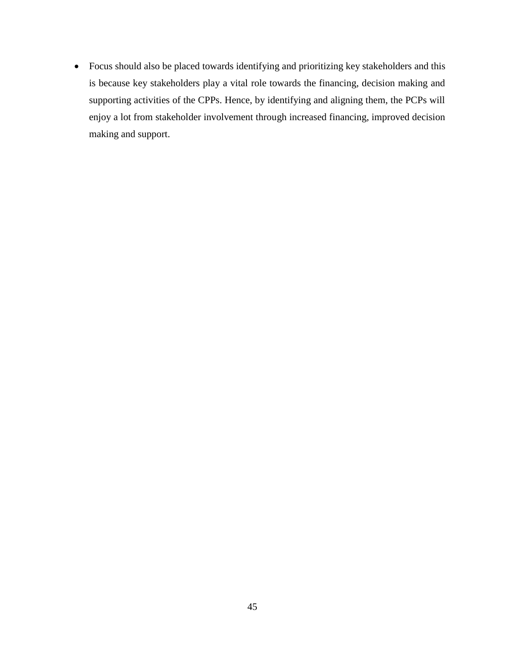• Focus should also be placed towards identifying and prioritizing key stakeholders and this is because key stakeholders play a vital role towards the financing, decision making and supporting activities of the CPPs. Hence, by identifying and aligning them, the PCPs will enjoy a lot from stakeholder involvement through increased financing, improved decision making and support.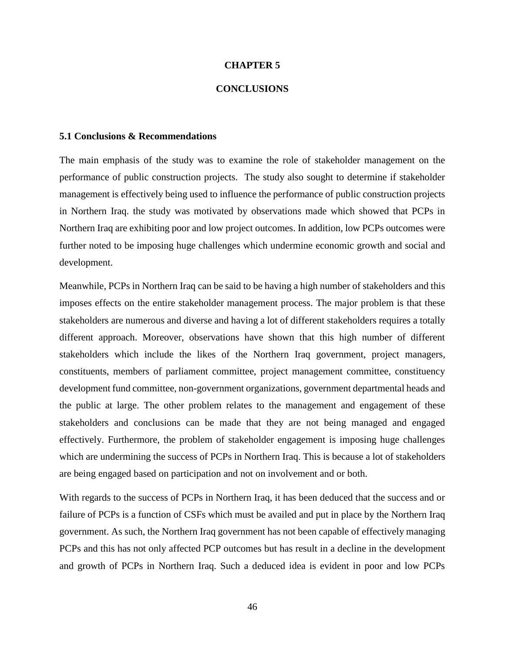#### **CHAPTER 5**

#### **CONCLUSIONS**

#### <span id="page-59-0"></span>**5.1 Conclusions & Recommendations**

The main emphasis of the study was to examine the role of stakeholder management on the performance of public construction projects. The study also sought to determine if stakeholder management is effectively being used to influence the performance of public construction projects in Northern Iraq. the study was motivated by observations made which showed that PCPs in Northern Iraq are exhibiting poor and low project outcomes. In addition, low PCPs outcomes were further noted to be imposing huge challenges which undermine economic growth and social and development.

Meanwhile, PCPs in Northern Iraq can be said to be having a high number of stakeholders and this imposes effects on the entire stakeholder management process. The major problem is that these stakeholders are numerous and diverse and having a lot of different stakeholders requires a totally different approach. Moreover, observations have shown that this high number of different stakeholders which include the likes of the Northern Iraq government, project managers, constituents, members of parliament committee, project management committee, constituency development fund committee, non-government organizations, government departmental heads and the public at large. The other problem relates to the management and engagement of these stakeholders and conclusions can be made that they are not being managed and engaged effectively. Furthermore, the problem of stakeholder engagement is imposing huge challenges which are undermining the success of PCPs in Northern Iraq. This is because a lot of stakeholders are being engaged based on participation and not on involvement and or both.

With regards to the success of PCPs in Northern Iraq, it has been deduced that the success and or failure of PCPs is a function of CSFs which must be availed and put in place by the Northern Iraq government. As such, the Northern Iraq government has not been capable of effectively managing PCPs and this has not only affected PCP outcomes but has result in a decline in the development and growth of PCPs in Northern Iraq. Such a deduced idea is evident in poor and low PCPs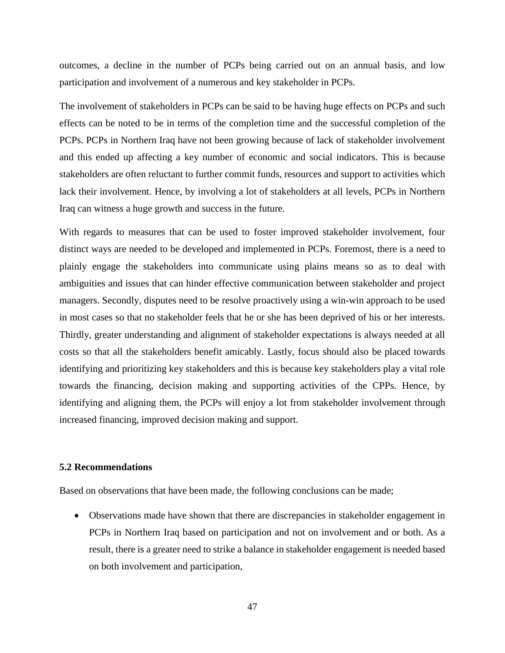outcomes, a decline in the number of PCPs being carried out on an annual basis, and low participation and involvement of a numerous and key stakeholder in PCPs.

The involvement of stakeholders in PCPs can be said to be having huge effects on PCPs and such effects can be noted to be in terms of the completion time and the successful completion of the PCPs. PCPs in Northern Iraq have not been growing because of lack of stakeholder involvement and this ended up affecting a key number of economic and social indicators. This is because stakeholders are often reluctant to further commit funds, resources and support to activities which lack their involvement. Hence, by involving a lot of stakeholders at all levels, PCPs in Northern Iraq can witness a huge growth and success in the future.

With regards to measures that can be used to foster improved stakeholder involvement, four distinct ways are needed to be developed and implemented in PCPs. Foremost, there is a need to plainly engage the stakeholders into communicate using plains means so as to deal with ambiguities and issues that can hinder effective communication between stakeholder and project managers. Secondly, disputes need to be resolve proactively using a win-win approach to be used in most cases so that no stakeholder feels that he or she has been deprived of his or her interests. Thirdly, greater understanding and alignment of stakeholder expectations is always needed at all costs so that all the stakeholders benefit amicably. Lastly, focus should also be placed towards identifying and prioritizing key stakeholders and this is because key stakeholders play a vital role towards the financing, decision making and supporting activities of the CPPs. Hence, by identifying and aligning them, the PCPs will enjoy a lot from stakeholder involvement through increased financing, improved decision making and support.

#### <span id="page-60-0"></span>**5.2 Recommendations**

Based on observations that have been made, the following conclusions can be made;

• Observations made have shown that there are discrepancies in stakeholder engagement in PCPs in Northern Iraq based on participation and not on involvement and or both. As a result, there is a greater need to strike a balance in stakeholder engagement is needed based on both involvement and participation,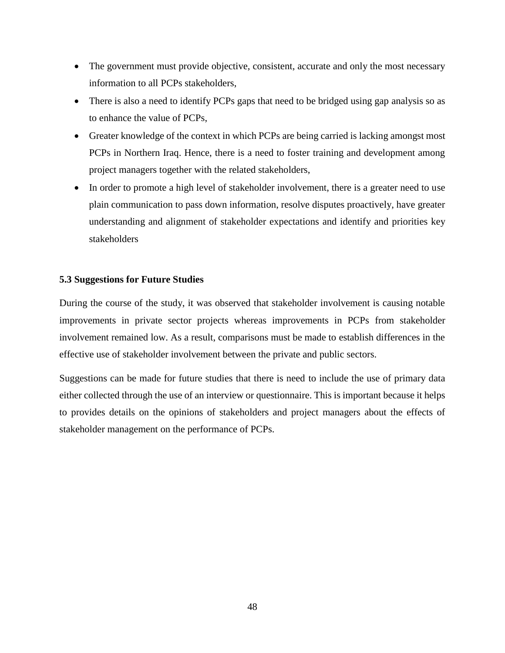- The government must provide objective, consistent, accurate and only the most necessary information to all PCPs stakeholders,
- There is also a need to identify PCPs gaps that need to be bridged using gap analysis so as to enhance the value of PCPs,
- Greater knowledge of the context in which PCPs are being carried is lacking amongst most PCPs in Northern Iraq. Hence, there is a need to foster training and development among project managers together with the related stakeholders,
- In order to promote a high level of stakeholder involvement, there is a greater need to use plain communication to pass down information, resolve disputes proactively, have greater understanding and alignment of stakeholder expectations and identify and priorities key stakeholders

#### <span id="page-61-0"></span>**5.3 Suggestions for Future Studies**

During the course of the study, it was observed that stakeholder involvement is causing notable improvements in private sector projects whereas improvements in PCPs from stakeholder involvement remained low. As a result, comparisons must be made to establish differences in the effective use of stakeholder involvement between the private and public sectors.

Suggestions can be made for future studies that there is need to include the use of primary data either collected through the use of an interview or questionnaire. This is important because it helps to provides details on the opinions of stakeholders and project managers about the effects of stakeholder management on the performance of PCPs.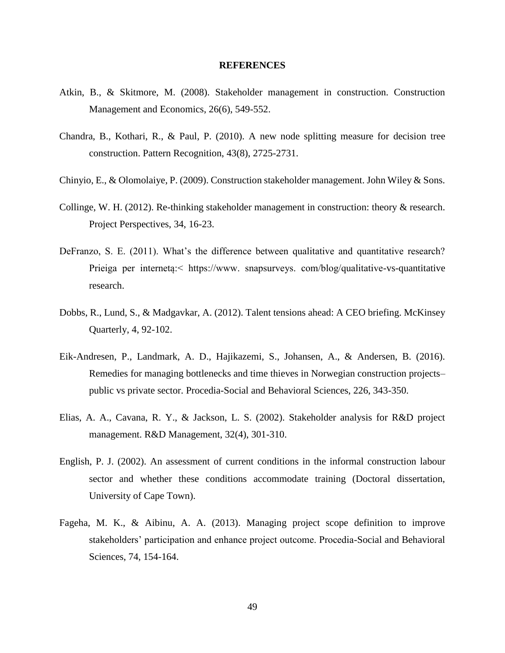#### **REFERENCES**

- <span id="page-62-0"></span>Atkin, B., & Skitmore, M. (2008). Stakeholder management in construction. Construction Management and Economics, 26(6), 549-552.
- Chandra, B., Kothari, R., & Paul, P. (2010). A new node splitting measure for decision tree construction. Pattern Recognition, 43(8), 2725-2731.
- Chinyio, E., & Olomolaiye, P. (2009). Construction stakeholder management. John Wiley & Sons.
- Collinge, W. H. (2012). Re-thinking stakeholder management in construction: theory & research. Project Perspectives, 34, 16-23.
- DeFranzo, S. E. (2011). What's the difference between qualitative and quantitative research? Prieiga per internetą:< https://www. snapsurveys. com/blog/qualitative-vs-quantitative research.
- Dobbs, R., Lund, S., & Madgavkar, A. (2012). Talent tensions ahead: A CEO briefing. McKinsey Quarterly, 4, 92-102.
- Eik-Andresen, P., Landmark, A. D., Hajikazemi, S., Johansen, A., & Andersen, B. (2016). Remedies for managing bottlenecks and time thieves in Norwegian construction projects– public vs private sector. Procedia-Social and Behavioral Sciences, 226, 343-350.
- Elias, A. A., Cavana, R. Y., & Jackson, L. S. (2002). Stakeholder analysis for R&D project management. R&D Management, 32(4), 301-310.
- English, P. J. (2002). An assessment of current conditions in the informal construction labour sector and whether these conditions accommodate training (Doctoral dissertation, University of Cape Town).
- Fageha, M. K., & Aibinu, A. A. (2013). Managing project scope definition to improve stakeholders' participation and enhance project outcome. Procedia-Social and Behavioral Sciences, 74, 154-164.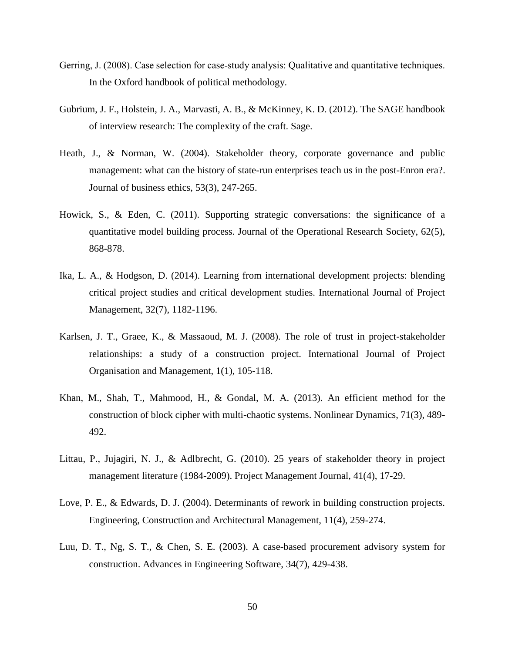- Gerring, J. (2008). Case selection for case-study analysis: Qualitative and quantitative techniques. In the Oxford handbook of political methodology.
- Gubrium, J. F., Holstein, J. A., Marvasti, A. B., & McKinney, K. D. (2012). The SAGE handbook of interview research: The complexity of the craft. Sage.
- Heath, J., & Norman, W. (2004). Stakeholder theory, corporate governance and public management: what can the history of state-run enterprises teach us in the post-Enron era?. Journal of business ethics, 53(3), 247-265.
- Howick, S., & Eden, C. (2011). Supporting strategic conversations: the significance of a quantitative model building process. Journal of the Operational Research Society, 62(5), 868-878.
- Ika, L. A., & Hodgson, D. (2014). Learning from international development projects: blending critical project studies and critical development studies. International Journal of Project Management, 32(7), 1182-1196.
- Karlsen, J. T., Graee, K., & Massaoud, M. J. (2008). The role of trust in project-stakeholder relationships: a study of a construction project. International Journal of Project Organisation and Management, 1(1), 105-118.
- Khan, M., Shah, T., Mahmood, H., & Gondal, M. A. (2013). An efficient method for the construction of block cipher with multi-chaotic systems. Nonlinear Dynamics, 71(3), 489- 492.
- Littau, P., Jujagiri, N. J., & Adlbrecht, G. (2010). 25 years of stakeholder theory in project management literature (1984-2009). Project Management Journal, 41(4), 17-29.
- Love, P. E., & Edwards, D. J. (2004). Determinants of rework in building construction projects. Engineering, Construction and Architectural Management, 11(4), 259-274.
- Luu, D. T., Ng, S. T., & Chen, S. E. (2003). A case-based procurement advisory system for construction. Advances in Engineering Software, 34(7), 429-438.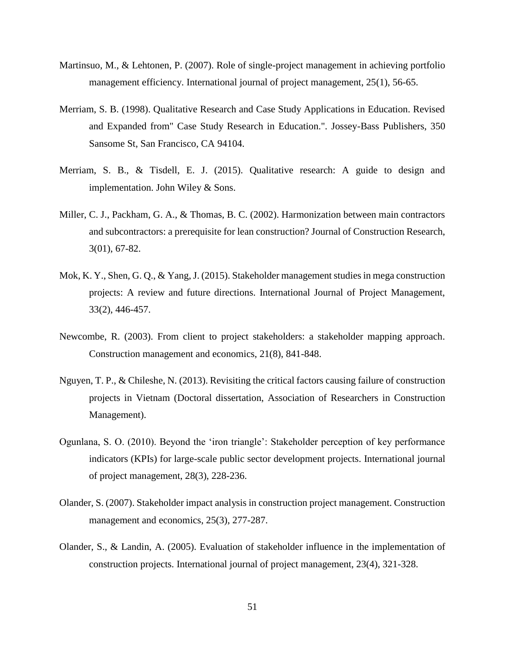- Martinsuo, M., & Lehtonen, P. (2007). Role of single-project management in achieving portfolio management efficiency. International journal of project management, 25(1), 56-65.
- Merriam, S. B. (1998). Qualitative Research and Case Study Applications in Education. Revised and Expanded from" Case Study Research in Education.". Jossey-Bass Publishers, 350 Sansome St, San Francisco, CA 94104.
- Merriam, S. B., & Tisdell, E. J. (2015). Qualitative research: A guide to design and implementation. John Wiley & Sons.
- Miller, C. J., Packham, G. A., & Thomas, B. C. (2002). Harmonization between main contractors and subcontractors: a prerequisite for lean construction? Journal of Construction Research, 3(01), 67-82.
- Mok, K. Y., Shen, G. Q., & Yang, J. (2015). Stakeholder management studies in mega construction projects: A review and future directions. International Journal of Project Management, 33(2), 446-457.
- Newcombe, R. (2003). From client to project stakeholders: a stakeholder mapping approach. Construction management and economics, 21(8), 841-848.
- Nguyen, T. P., & Chileshe, N. (2013). Revisiting the critical factors causing failure of construction projects in Vietnam (Doctoral dissertation, Association of Researchers in Construction Management).
- Ogunlana, S. O. (2010). Beyond the 'iron triangle': Stakeholder perception of key performance indicators (KPIs) for large-scale public sector development projects. International journal of project management, 28(3), 228-236.
- Olander, S. (2007). Stakeholder impact analysis in construction project management. Construction management and economics, 25(3), 277-287.
- Olander, S., & Landin, A. (2005). Evaluation of stakeholder influence in the implementation of construction projects. International journal of project management, 23(4), 321-328.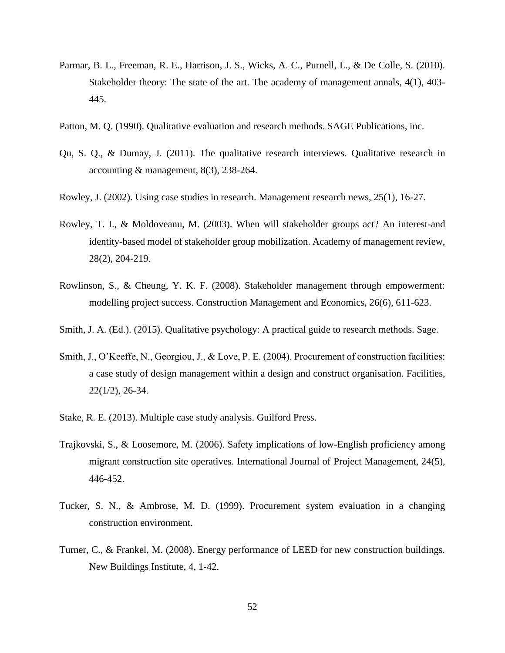- Parmar, B. L., Freeman, R. E., Harrison, J. S., Wicks, A. C., Purnell, L., & De Colle, S. (2010). Stakeholder theory: The state of the art. The academy of management annals, 4(1), 403- 445.
- Patton, M. Q. (1990). Qualitative evaluation and research methods. SAGE Publications, inc.
- Qu, S. Q., & Dumay, J. (2011). The qualitative research interviews. Qualitative research in accounting & management, 8(3), 238-264.
- Rowley, J. (2002). Using case studies in research. Management research news, 25(1), 16-27.
- Rowley, T. I., & Moldoveanu, M. (2003). When will stakeholder groups act? An interest-and identity-based model of stakeholder group mobilization. Academy of management review, 28(2), 204-219.
- Rowlinson, S., & Cheung, Y. K. F. (2008). Stakeholder management through empowerment: modelling project success. Construction Management and Economics, 26(6), 611-623.
- Smith, J. A. (Ed.). (2015). Qualitative psychology: A practical guide to research methods. Sage.
- Smith, J., O'Keeffe, N., Georgiou, J., & Love, P. E. (2004). Procurement of construction facilities: a case study of design management within a design and construct organisation. Facilities, 22(1/2), 26-34.
- Stake, R. E. (2013). Multiple case study analysis. Guilford Press.
- Trajkovski, S., & Loosemore, M. (2006). Safety implications of low-English proficiency among migrant construction site operatives. International Journal of Project Management, 24(5), 446-452.
- Tucker, S. N., & Ambrose, M. D. (1999). Procurement system evaluation in a changing construction environment.
- Turner, C., & Frankel, M. (2008). Energy performance of LEED for new construction buildings. New Buildings Institute, 4, 1-42.